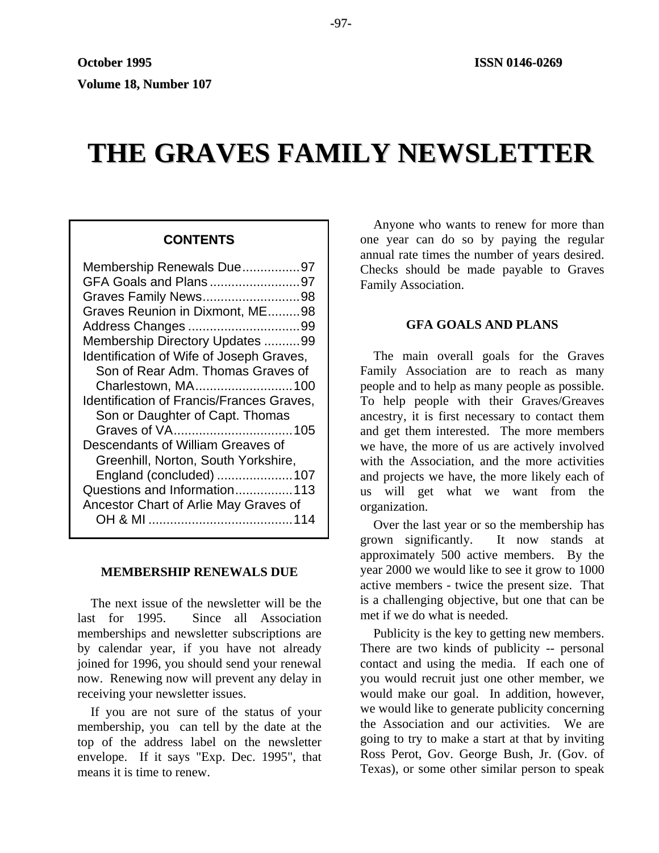# **THE GRAVES FAMILY NEWSLETTER**

## **CONTENTS**

| Membership Renewals Due97                        |
|--------------------------------------------------|
| GFA Goals and Plans97                            |
| Graves Family News98                             |
| Graves Reunion in Dixmont, ME98                  |
|                                                  |
| Membership Directory Updates 99                  |
| Identification of Wife of Joseph Graves,         |
| Son of Rear Adm. Thomas Graves of                |
| Charlestown, MA100                               |
| <b>Identification of Francis/Frances Graves,</b> |
| Son or Daughter of Capt. Thomas                  |
|                                                  |
| Descendants of William Greaves of                |
| Greenhill, Norton, South Yorkshire,              |
| England (concluded) 107                          |
| Questions and Information113                     |
| Ancestor Chart of Arlie May Graves of            |
|                                                  |
|                                                  |

### **MEMBERSHIP RENEWALS DUE**

The next issue of the newsletter will be the last for 1995. Since all Association memberships and newsletter subscriptions are by calendar year, if you have not already joined for 1996, you should send your renewal now. Renewing now will prevent any delay in receiving your newsletter issues.

If you are not sure of the status of your membership, you can tell by the date at the top of the address label on the newsletter envelope. If it says "Exp. Dec. 1995", that means it is time to renew.

Anyone who wants to renew for more than one year can do so by paying the regular annual rate times the number of years desired. Checks should be made payable to Graves Family Association.

## **GFA GOALS AND PLANS**

The main overall goals for the Graves Family Association are to reach as many people and to help as many people as possible. To help people with their Graves/Greaves ancestry, it is first necessary to contact them and get them interested. The more members we have, the more of us are actively involved with the Association, and the more activities and projects we have, the more likely each of us will get what we want from the organization.

Over the last year or so the membership has grown significantly. It now stands at approximately 500 active members. By the year 2000 we would like to see it grow to 1000 active members - twice the present size. That is a challenging objective, but one that can be met if we do what is needed.

Publicity is the key to getting new members. There are two kinds of publicity -- personal contact and using the media. If each one of you would recruit just one other member, we would make our goal. In addition, however, we would like to generate publicity concerning the Association and our activities. We are going to try to make a start at that by inviting Ross Perot, Gov. George Bush, Jr. (Gov. of Texas), or some other similar person to speak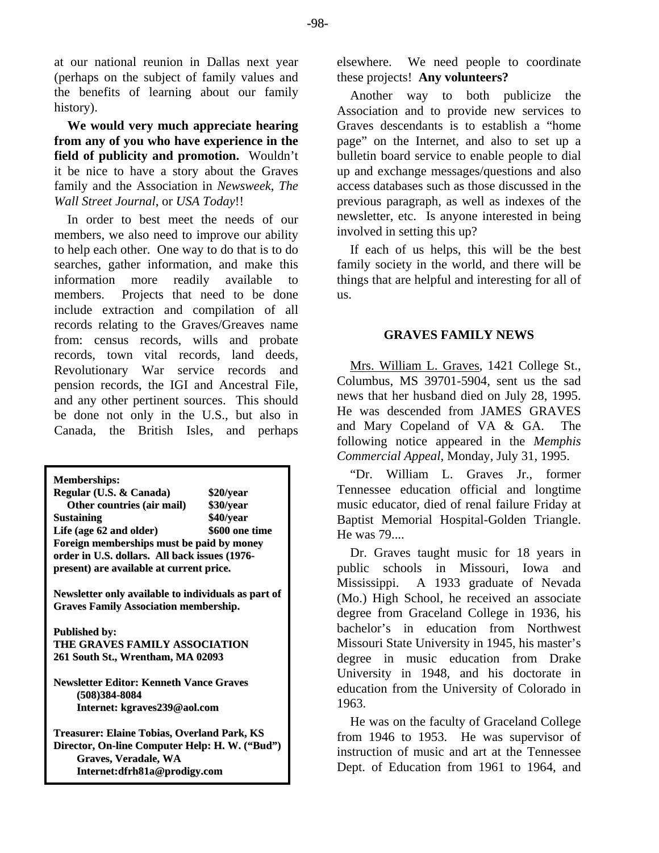at our national reunion in Dallas next year (perhaps on the subject of family values and the benefits of learning about our family history).

**We would very much appreciate hearing from any of you who have experience in the field of publicity and promotion.** Wouldn't it be nice to have a story about the Graves family and the Association in *Newsweek*, *The Wall Street Journal*, or *USA Today*!!

In order to best meet the needs of our members, we also need to improve our ability to help each other. One way to do that is to do searches, gather information, and make this information more readily available to members. Projects that need to be done include extraction and compilation of all records relating to the Graves/Greaves name from: census records, wills and probate records, town vital records, land deeds, Revolutionary War service records and pension records, the IGI and Ancestral File, and any other pertinent sources. This should be done not only in the U.S., but also in Canada, the British Isles, and perhaps

| <b>Memberships:</b>                                 |                |  |
|-----------------------------------------------------|----------------|--|
| Regular (U.S. & Canada)                             | \$20/year      |  |
| <b>Other countries (air mail)</b>                   | \$30/year      |  |
| Sustaining                                          | \$40/year      |  |
| Life (age 62 and older)                             | \$600 one time |  |
| Foreign memberships must be paid by money           |                |  |
| order in U.S. dollars. All back issues (1976-       |                |  |
| present) are available at current price.            |                |  |
|                                                     |                |  |
| Newsletter only available to individuals as part of |                |  |
| <b>Graves Family Association membership.</b>        |                |  |
| <b>Published by:</b>                                |                |  |
| THE GRAVES FAMILY ASSOCIATION                       |                |  |
| 261 South St., Wrentham, MA 02093                   |                |  |
|                                                     |                |  |
| <b>Newsletter Editor: Kenneth Vance Graves</b>      |                |  |
| $(508)384 - 8084$                                   |                |  |
| Internet: kgraves239@aol.com                        |                |  |
|                                                     |                |  |
| Treasurer: Elaine Tobias, Overland Park, KS         |                |  |
| Director, On-line Computer Help: H. W. ("Bud")      |                |  |
| Graves, Veradale, WA                                |                |  |
| Internet:dfrh81a@prodigy.com                        |                |  |
|                                                     |                |  |

elsewhere. We need people to coordinate these projects! **Any volunteers?**

Another way to both publicize the Association and to provide new services to Graves descendants is to establish a "home page" on the Internet, and also to set up a bulletin board service to enable people to dial up and exchange messages/questions and also access databases such as those discussed in the previous paragraph, as well as indexes of the newsletter, etc. Is anyone interested in being involved in setting this up?

If each of us helps, this will be the best family society in the world, and there will be things that are helpful and interesting for all of us.

# **GRAVES FAMILY NEWS**

Mrs. William L. Graves, 1421 College St., Columbus, MS 39701-5904, sent us the sad news that her husband died on July 28, 1995. He was descended from JAMES GRAVES and Mary Copeland of VA & GA. The following notice appeared in the *Memphis Commercial Appeal*, Monday, July 31, 1995.

"Dr. William L. Graves Jr., former Tennessee education official and longtime music educator, died of renal failure Friday at Baptist Memorial Hospital-Golden Triangle. He was 79....

Dr. Graves taught music for 18 years in public schools in Missouri, Iowa and Mississippi. A 1933 graduate of Nevada (Mo.) High School, he received an associate degree from Graceland College in 1936, his bachelor's in education from Northwest Missouri State University in 1945, his master's degree in music education from Drake University in 1948, and his doctorate in education from the University of Colorado in 1963.

He was on the faculty of Graceland College from 1946 to 1953. He was supervisor of instruction of music and art at the Tennessee Dept. of Education from 1961 to 1964, and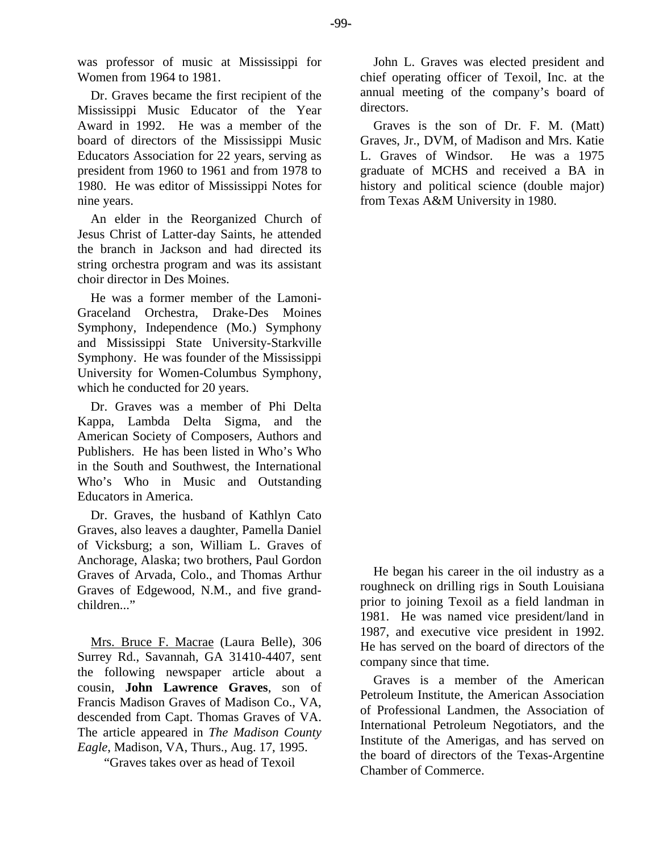Dr. Graves became the first recipient of the Mississippi Music Educator of the Year Award in 1992. He was a member of the board of directors of the Mississippi Music Educators Association for 22 years, serving as president from 1960 to 1961 and from 1978 to 1980. He was editor of Mississippi Notes for nine years.

An elder in the Reorganized Church of Jesus Christ of Latter-day Saints, he attended the branch in Jackson and had directed its string orchestra program and was its assistant choir director in Des Moines.

He was a former member of the Lamoni-Graceland Orchestra, Drake-Des Moines Symphony, Independence (Mo.) Symphony and Mississippi State University-Starkville Symphony. He was founder of the Mississippi University for Women-Columbus Symphony, which he conducted for 20 years.

Dr. Graves was a member of Phi Delta Kappa, Lambda Delta Sigma, and the American Society of Composers, Authors and Publishers. He has been listed in Who's Who in the South and Southwest, the International Who's Who in Music and Outstanding Educators in America.

Dr. Graves, the husband of Kathlyn Cato Graves, also leaves a daughter, Pamella Daniel of Vicksburg; a son, William L. Graves of Anchorage, Alaska; two brothers, Paul Gordon Graves of Arvada, Colo., and Thomas Arthur Graves of Edgewood, N.M., and five grandchildren..."

Mrs. Bruce F. Macrae (Laura Belle), 306 Surrey Rd., Savannah, GA 31410-4407, sent the following newspaper article about a cousin, **John Lawrence Graves**, son of Francis Madison Graves of Madison Co., VA, descended from Capt. Thomas Graves of VA. The article appeared in *The Madison County Eagle*, Madison, VA, Thurs., Aug. 17, 1995.

"Graves takes over as head of Texoil

John L. Graves was elected president and chief operating officer of Texoil, Inc. at the annual meeting of the company's board of directors.

Graves is the son of Dr. F. M. (Matt) Graves, Jr., DVM, of Madison and Mrs. Katie L. Graves of Windsor. He was a 1975 graduate of MCHS and received a BA in history and political science (double major) from Texas A&M University in 1980.

He began his career in the oil industry as a roughneck on drilling rigs in South Louisiana prior to joining Texoil as a field landman in 1981. He was named vice president/land in 1987, and executive vice president in 1992. He has served on the board of directors of the company since that time.

Graves is a member of the American Petroleum Institute, the American Association of Professional Landmen, the Association of International Petroleum Negotiators, and the Institute of the Amerigas, and has served on the board of directors of the Texas-Argentine Chamber of Commerce.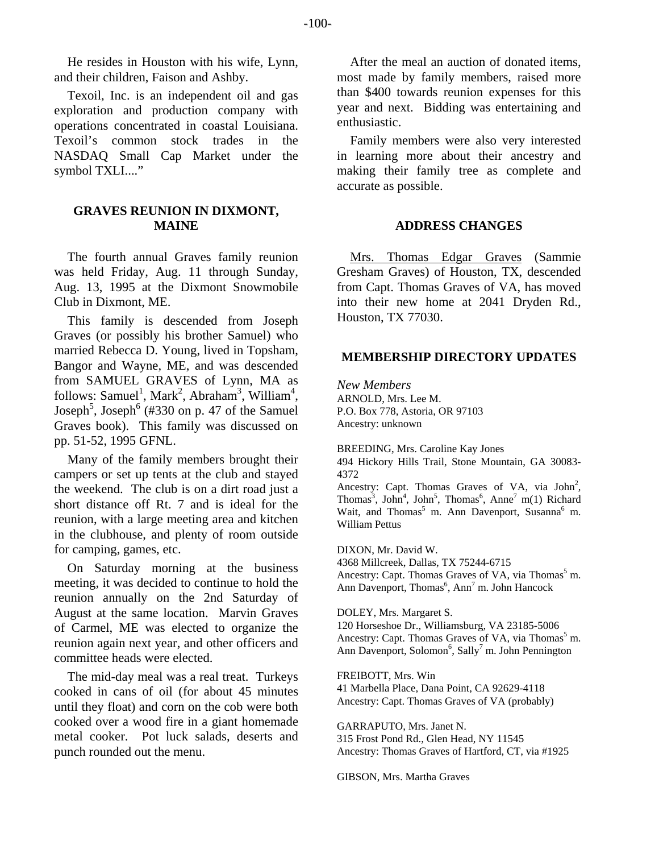He resides in Houston with his wife, Lynn, and their children, Faison and Ashby.

Texoil, Inc. is an independent oil and gas exploration and production company with operations concentrated in coastal Louisiana. Texoil's common stock trades in the NASDAQ Small Cap Market under the symbol TXLI...."

## **GRAVES REUNION IN DIXMONT, MAINE**

The fourth annual Graves family reunion was held Friday, Aug. 11 through Sunday, Aug. 13, 1995 at the Dixmont Snowmobile Club in Dixmont, ME.

This family is descended from Joseph Graves (or possibly his brother Samuel) who married Rebecca D. Young, lived in Topsham, Bangor and Wayne, ME, and was descended from SAMUEL GRAVES of Lynn, MA as follows: Samuel<sup>1</sup>, Mark<sup>2</sup>, Abraham<sup>3</sup>, William<sup>4</sup>, Joseph<sup>5</sup>, Joseph<sup>6</sup> (#330 on p. 47 of the Samuel Graves book). This family was discussed on pp. 51-52, 1995 GFNL.

Many of the family members brought their campers or set up tents at the club and stayed the weekend. The club is on a dirt road just a short distance off Rt. 7 and is ideal for the reunion, with a large meeting area and kitchen in the clubhouse, and plenty of room outside for camping, games, etc.

On Saturday morning at the business meeting, it was decided to continue to hold the reunion annually on the 2nd Saturday of August at the same location. Marvin Graves of Carmel, ME was elected to organize the reunion again next year, and other officers and committee heads were elected.

The mid-day meal was a real treat. Turkeys cooked in cans of oil (for about 45 minutes until they float) and corn on the cob were both cooked over a wood fire in a giant homemade metal cooker. Pot luck salads, deserts and punch rounded out the menu.

After the meal an auction of donated items, most made by family members, raised more than \$400 towards reunion expenses for this year and next. Bidding was entertaining and enthusiastic.

Family members were also very interested in learning more about their ancestry and making their family tree as complete and accurate as possible.

#### **ADDRESS CHANGES**

Mrs. Thomas Edgar Graves (Sammie Gresham Graves) of Houston, TX, descended from Capt. Thomas Graves of VA, has moved into their new home at 2041 Dryden Rd., Houston, TX 77030.

#### **MEMBERSHIP DIRECTORY UPDATES**

*New Members*  ARNOLD, Mrs. Lee M. P.O. Box 778, Astoria, OR 97103 Ancestry: unknown

BREEDING, Mrs. Caroline Kay Jones 494 Hickory Hills Trail, Stone Mountain, GA 30083- 4372 Ancestry: Capt. Thomas Graves of VA, via  $John<sup>2</sup>$ , Thomas<sup>3</sup>, John<sup>4</sup>, John<sup>5</sup>, Thomas<sup>6</sup>, Anne<sup>7</sup> m(1) Richard Wait, and Thomas<sup>5</sup> m. Ann Davenport, Susanna<sup>6</sup> m. William Pettus

DIXON, Mr. David W. 4368 Millcreek, Dallas, TX 75244-6715 Ancestry: Capt. Thomas Graves of VA, via Thomas<sup>5</sup> m. Ann Davenport, Thomas<sup>6</sup>, Ann<sup>7</sup> m. John Hancock

DOLEY, Mrs. Margaret S.

120 Horseshoe Dr., Williamsburg, VA 23185-5006 Ancestry: Capt. Thomas Graves of VA, via Thomas<sup>5</sup> m. Ann Davenport, Solomon<sup>6</sup>, Sally<sup>7</sup> m. John Pennington

FREIBOTT, Mrs. Win 41 Marbella Place, Dana Point, CA 92629-4118 Ancestry: Capt. Thomas Graves of VA (probably)

GARRAPUTO, Mrs. Janet N. 315 Frost Pond Rd., Glen Head, NY 11545 Ancestry: Thomas Graves of Hartford, CT, via #1925

GIBSON, Mrs. Martha Graves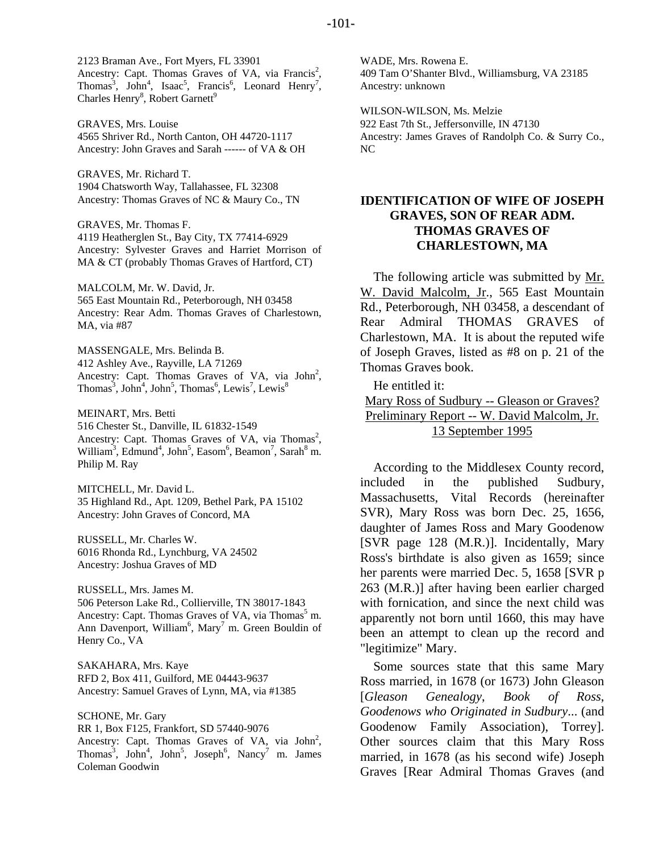2123 Braman Ave., Fort Myers, FL 33901 Ancestry: Capt. Thomas Graves of VA, via Francis<sup>2</sup>, Thomas<sup>3</sup>, John<sup>4</sup>, Isaac<sup>5</sup>, Francis<sup>6</sup>, Leonard Henry<sup>7</sup>, Charles Henry<sup>8</sup>, Robert Garnett<sup>9</sup>

GRAVES, Mrs. Louise 4565 Shriver Rd., North Canton, OH 44720-1117 Ancestry: John Graves and Sarah ------ of VA & OH

GRAVES, Mr. Richard T. 1904 Chatsworth Way, Tallahassee, FL 32308 Ancestry: Thomas Graves of NC & Maury Co., TN

GRAVES, Mr. Thomas F. 4119 Heatherglen St., Bay City, TX 77414-6929 Ancestry: Sylvester Graves and Harriet Morrison of MA & CT (probably Thomas Graves of Hartford, CT)

MALCOLM, Mr. W. David, Jr. 565 East Mountain Rd., Peterborough, NH 03458 Ancestry: Rear Adm. Thomas Graves of Charlestown, MA, via #87

MASSENGALE, Mrs. Belinda B. 412 Ashley Ave., Rayville, LA 71269 Ancestry: Capt. Thomas Graves of VA, via  $John<sup>2</sup>$ , Thomas<sup>3</sup>, John<sup>4</sup>, John<sup>5</sup>, Thomas<sup>6</sup>, Lewis<sup>7</sup>, Lewis<sup>8</sup>

MEINART, Mrs. Betti 516 Chester St., Danville, IL 61832-1549 Ancestry: Capt. Thomas Graves of VA, via Thomas<sup>2</sup>, William<sup>3</sup>, Edmund<sup>4</sup>, John<sup>5</sup>, Easom<sup>6</sup>, Beamon<sup>7</sup>, Sarah<sup>8</sup> m. Philip M. Ray

MITCHELL, Mr. David L. 35 Highland Rd., Apt. 1209, Bethel Park, PA 15102 Ancestry: John Graves of Concord, MA

RUSSELL, Mr. Charles W. 6016 Rhonda Rd., Lynchburg, VA 24502 Ancestry: Joshua Graves of MD

RUSSELL, Mrs. James M. 506 Peterson Lake Rd., Collierville, TN 38017-1843 Ancestry: Capt. Thomas Graves of VA, via Thomas<sup>5</sup> m. Ann Davenport, William<sup>6</sup>, Mary<sup>7</sup> m. Green Bouldin of Henry Co., VA

SAKAHARA, Mrs. Kaye RFD 2, Box 411, Guilford, ME 04443-9637 Ancestry: Samuel Graves of Lynn, MA, via #1385

SCHONE, Mr. Gary RR 1, Box F125, Frankfort, SD 57440-9076 Ancestry: Capt. Thomas Graves of VA, via  $John<sup>2</sup>$ , Thomas<sup>3</sup>, John<sup>4</sup>, John<sup>5</sup>, Joseph<sup>6</sup>, Nancy<sup>7</sup> m. James Coleman Goodwin

WADE, Mrs. Rowena E. 409 Tam O'Shanter Blvd., Williamsburg, VA 23185 Ancestry: unknown

WILSON-WILSON, Ms. Melzie 922 East 7th St., Jeffersonville, IN 47130 Ancestry: James Graves of Randolph Co. & Surry Co., NC

# **IDENTIFICATION OF WIFE OF JOSEPH GRAVES, SON OF REAR ADM. THOMAS GRAVES OF CHARLESTOWN, MA**

The following article was submitted by Mr. W. David Malcolm, Jr., 565 East Mountain Rd., Peterborough, NH 03458, a descendant of Rear Admiral THOMAS GRAVES of Charlestown, MA. It is about the reputed wife of Joseph Graves, listed as #8 on p. 21 of the Thomas Graves book.

He entitled it:

Mary Ross of Sudbury -- Gleason or Graves? Preliminary Report -- W. David Malcolm, Jr. 13 September 1995

According to the Middlesex County record, included in the published Sudbury, Massachusetts, Vital Records (hereinafter SVR), Mary Ross was born Dec. 25, 1656, daughter of James Ross and Mary Goodenow [SVR page 128 (M.R.)]. Incidentally, Mary Ross's birthdate is also given as 1659; since her parents were married Dec. 5, 1658 [SVR p 263 (M.R.)] after having been earlier charged with fornication, and since the next child was apparently not born until 1660, this may have been an attempt to clean up the record and "legitimize" Mary.

Some sources state that this same Mary Ross married, in 1678 (or 1673) John Gleason [*Gleason Genealogy*, *Book of Ross*, *Goodenows who Originated in Sudbury*... (and Goodenow Family Association), Torrey]. Other sources claim that this Mary Ross married, in 1678 (as his second wife) Joseph Graves [Rear Admiral Thomas Graves (and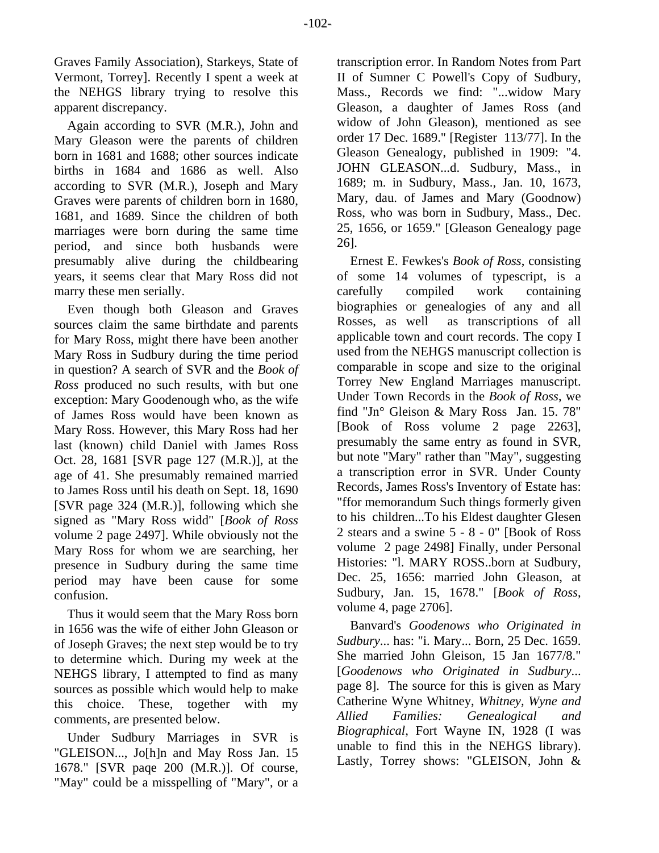Graves Family Association), Starkeys, State of Vermont, Torrey]. Recently I spent a week at the NEHGS library trying to resolve this apparent discrepancy.

Again according to SVR (M.R.), John and Mary Gleason were the parents of children born in 1681 and 1688; other sources indicate births in 1684 and 1686 as well. Also according to SVR (M.R.), Joseph and Mary Graves were parents of children born in 1680, 1681, and 1689. Since the children of both marriages were born during the same time period, and since both husbands were presumably alive during the childbearing years, it seems clear that Mary Ross did not marry these men serially.

Even though both Gleason and Graves sources claim the same birthdate and parents for Mary Ross, might there have been another Mary Ross in Sudbury during the time period in question? A search of SVR and the *Book of Ross* produced no such results, with but one exception: Mary Goodenough who, as the wife of James Ross would have been known as Mary Ross. However, this Mary Ross had her last (known) child Daniel with James Ross Oct. 28, 1681 [SVR page 127 (M.R.)], at the age of 41. She presumably remained married to James Ross until his death on Sept. 18, 1690 [SVR page 324 (M.R.)], following which she signed as "Mary Ross widd" [*Book of Ross* volume 2 page 2497]. While obviously not the Mary Ross for whom we are searching, her presence in Sudbury during the same time period may have been cause for some confusion.

Thus it would seem that the Mary Ross born in 1656 was the wife of either John Gleason or of Joseph Graves; the next step would be to try to determine which. During my week at the NEHGS library, I attempted to find as many sources as possible which would help to make this choice. These, together with my comments, are presented below.

Under Sudbury Marriages in SVR is "GLEISON..., Jo[h]n and May Ross Jan. 15 1678." [SVR paqe 200 (M.R.)]. Of course, "May" could be a misspelling of "Mary", or a transcription error. In Random Notes from Part II of Sumner C Powell's Copy of Sudbury, Mass., Records we find: "...widow Mary Gleason, a daughter of James Ross (and widow of John Gleason), mentioned as see order 17 Dec. 1689." [Register 113/77]. In the Gleason Genealogy, published in 1909: "4. JOHN GLEASON...d. Sudbury, Mass., in 1689; m. in Sudbury, Mass., Jan. 10, 1673, Mary, dau. of James and Mary (Goodnow) Ross, who was born in Sudbury, Mass., Dec. 25, 1656, or 1659." [Gleason Genealogy page 26].

Ernest E. Fewkes's *Book of Ross*, consisting of some 14 volumes of typescript, is a carefully compiled work containing biographies or genealogies of any and all Rosses, as well as transcriptions of all applicable town and court records. The copy I used from the NEHGS manuscript collection is comparable in scope and size to the original Torrey New England Marriages manuscript. Under Town Records in the *Book of Ross*, we find "Jn° Gleison & Mary Ross Jan. 15. 78" [Book of Ross volume 2 page 2263], presumably the same entry as found in SVR, but note "Mary" rather than "May", suggesting a transcription error in SVR. Under County Records, James Ross's Inventory of Estate has: "ffor memorandum Such things formerly given to his children...To his Eldest daughter Glesen 2 stears and a swine 5 - 8 - 0" [Book of Ross volume 2 page 2498] Finally, under Personal Histories: "l. MARY ROSS..born at Sudbury, Dec. 25, 1656: married John Gleason, at Sudbury, Jan. 15, 1678." [*Book of Ross*, volume 4, page 2706].

Banvard's *Goodenows who Originated in Sudbury*... has: "i. Mary... Born, 25 Dec. 1659. She married John Gleison, 15 Jan 1677/8." [*Goodenows who Originated in Sudbury*... page 8]. The source for this is given as Mary Catherine Wyne Whitney, *Whitney, Wyne and Allied Families: Genealogical and Biographical*, Fort Wayne IN, 1928 (I was unable to find this in the NEHGS library). Lastly, Torrey shows: "GLEISON, John &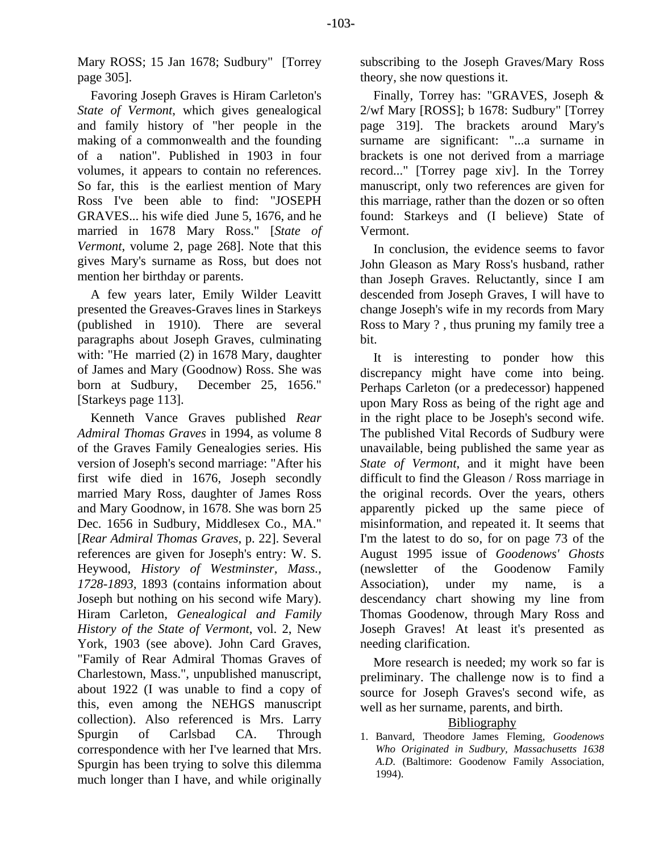Mary ROSS; 15 Jan 1678; Sudbury" [Torrey page 305].

Favoring Joseph Graves is Hiram Carleton's *State of Vermont*, which gives genealogical and family history of "her people in the making of a commonwealth and the founding of a nation". Published in 1903 in four volumes, it appears to contain no references. So far, this is the earliest mention of Mary Ross I've been able to find: "JOSEPH GRAVES... his wife died June 5, 1676, and he married in 1678 Mary Ross." [*State of Vermont*, volume 2, page 268]. Note that this gives Mary's surname as Ross, but does not mention her birthday or parents.

A few years later, Emily Wilder Leavitt presented the Greaves-Graves lines in Starkeys (published in 1910). There are several paragraphs about Joseph Graves, culminating with: "He married (2) in 1678 Mary, daughter of James and Mary (Goodnow) Ross. She was born at Sudbury, December 25, 1656." [Starkeys page 113].

Kenneth Vance Graves published *Rear Admiral Thomas Graves* in 1994, as volume 8 of the Graves Family Genealogies series. His version of Joseph's second marriage: "After his first wife died in 1676, Joseph secondly married Mary Ross, daughter of James Ross and Mary Goodnow, in 1678. She was born 25 Dec. 1656 in Sudbury, Middlesex Co., MA." [*Rear Admiral Thomas Graves*, p. 22]. Several references are given for Joseph's entry: W. S. Heywood, *History of Westminster, Mass., 1728-1893,* 1893 (contains information about Joseph but nothing on his second wife Mary). Hiram Carleton, *Genealogical and Family History of the State of Vermont*, vol. 2, New York, 1903 (see above). John Card Graves, "Family of Rear Admiral Thomas Graves of Charlestown, Mass.", unpublished manuscript, about 1922 (I was unable to find a copy of this, even among the NEHGS manuscript collection). Also referenced is Mrs. Larry Spurgin of Carlsbad CA. Through correspondence with her I've learned that Mrs. Spurgin has been trying to solve this dilemma much longer than I have, and while originally subscribing to the Joseph Graves/Mary Ross theory, she now questions it.

Finally, Torrey has: "GRAVES, Joseph & 2/wf Mary [ROSS]; b 1678: Sudbury" [Torrey page 319]. The brackets around Mary's surname are significant: "...a surname in brackets is one not derived from a marriage record..." [Torrey page xiv]. In the Torrey manuscript, only two references are given for this marriage, rather than the dozen or so often found: Starkeys and (I believe) State of Vermont.

In conclusion, the evidence seems to favor John Gleason as Mary Ross's husband, rather than Joseph Graves. Reluctantly, since I am descended from Joseph Graves, I will have to change Joseph's wife in my records from Mary Ross to Mary ? , thus pruning my family tree a bit.

It is interesting to ponder how this discrepancy might have come into being. Perhaps Carleton (or a predecessor) happened upon Mary Ross as being of the right age and in the right place to be Joseph's second wife. The published Vital Records of Sudbury were unavailable, being published the same year as *State of Vermont*, and it might have been difficult to find the Gleason / Ross marriage in the original records. Over the years, others apparently picked up the same piece of misinformation, and repeated it. It seems that I'm the latest to do so, for on page 73 of the August 1995 issue of *Goodenows' Ghosts* (newsletter of the Goodenow Family Association), under my name, is a descendancy chart showing my line from Thomas Goodenow, through Mary Ross and Joseph Graves! At least it's presented as needing clarification.

More research is needed; my work so far is preliminary. The challenge now is to find a source for Joseph Graves's second wife, as well as her surname, parents, and birth.

### **Bibliography**

1. Banvard, Theodore James Fleming, *Goodenows Who Originated in Sudbury, Massachusetts 1638 A.D*. (Baltimore: Goodenow Family Association, 1994).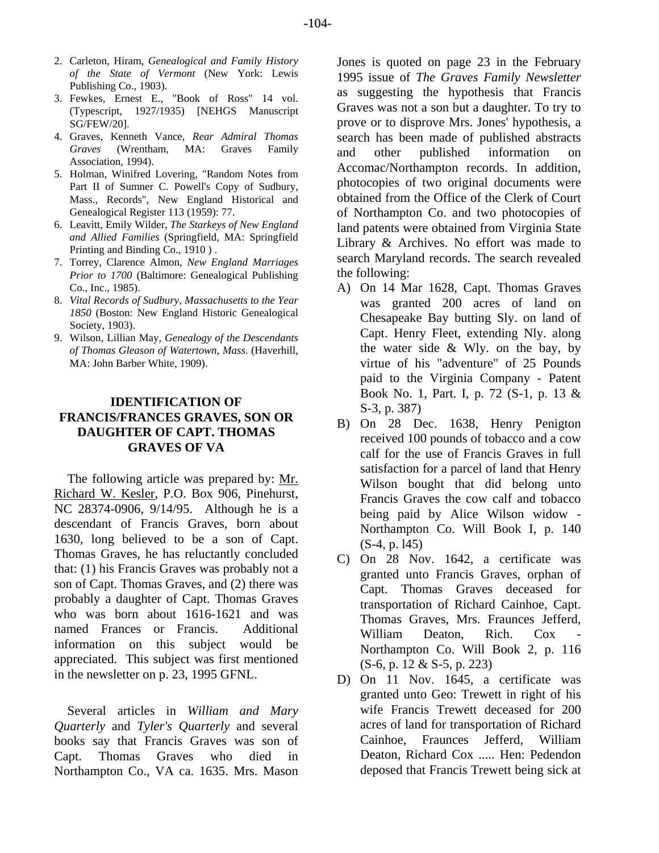- 2. Carleton, Hiram, *Genealogical and Family History of the State of Vermont* (New York: Lewis Publishing Co., 1903).
- 3. Fewkes, Ernest E., "Book of Ross" 14 vol. (Typescript, 1927/1935) [NEHGS Manuscript SG/FEW/20].
- 4. Graves, Kenneth Vance, *Rear Admiral Thomas Graves* (Wrentham, MA: Graves Family Association, 1994).
- 5. Holman, Winifred Lovering, "Random Notes from Part II of Sumner C. Powell's Copy of Sudbury, Mass., Records", New England Historical and Genealogical Register 113 (1959): 77.
- 6. Leavitt, Emily Wilder, *The Starkeys of New England and Allied Families* (Springfield, MA: Springfield Printing and Binding Co., 1910 ) .
- 7. Torrey, Clarence Almon, *New England Marriages Prior to 1700* (Baltimore: Genealogical Publishing Co., Inc., 1985).
- 8. *Vital Records of Sudbury, Massachusetts to the Year 1850* (Boston: New England Historic Genealogical Society, 1903).
- 9. Wilson, Lillian May, *Genealogy of the Descendants of Thomas Gleason of Watertown, Mass*. (Haverhill, MA: John Barber White, 1909).

## **IDENTIFICATION OF FRANCIS/FRANCES GRAVES, SON OR DAUGHTER OF CAPT. THOMAS GRAVES OF VA**

The following article was prepared by: Mr. Richard W. Kesler, P.O. Box 906, Pinehurst, NC 28374-0906, 9/14/95. Although he is a descendant of Francis Graves, born about 1630, long believed to be a son of Capt. Thomas Graves, he has reluctantly concluded that: (1) his Francis Graves was probably not a son of Capt. Thomas Graves, and (2) there was probably a daughter of Capt. Thomas Graves who was born about 1616-1621 and was named Frances or Francis. Additional information on this subject would be appreciated. This subject was first mentioned in the newsletter on p. 23, 1995 GFNL.

Several articles in *William and Mary Quarterly* and *Tyler's Quarterly* and several books say that Francis Graves was son of Capt. Thomas Graves who died in Northampton Co., VA ca. 1635. Mrs. Mason Jones is quoted on page 23 in the February 1995 issue of *The Graves Family Newsletter* as suggesting the hypothesis that Francis Graves was not a son but a daughter. To try to prove or to disprove Mrs. Jones' hypothesis, a search has been made of published abstracts and other published information on Accomac/Northampton records. In addition, photocopies of two original documents were obtained from the Office of the Clerk of Court of Northampton Co. and two photocopies of land patents were obtained from Virginia State Library & Archives. No effort was made to search Maryland records. The search revealed the following:

- A) On 14 Mar 1628, Capt. Thomas Graves was granted 200 acres of land on Chesapeake Bay butting Sly. on land of Capt. Henry Fleet, extending Nly. along the water side  $&$  Wly. on the bay, by virtue of his "adventure" of 25 Pounds paid to the Virginia Company - Patent Book No. 1, Part. I, p. 72 (S-1, p. 13 & S-3, p. 387)
- B) On 28 Dec. 1638, Henry Penigton received 100 pounds of tobacco and a cow calf for the use of Francis Graves in full satisfaction for a parcel of land that Henry Wilson bought that did belong unto Francis Graves the cow calf and tobacco being paid by Alice Wilson widow - Northampton Co. Will Book I, p. 140 (S-4, p. l45)
- C) On 28 Nov. 1642, a certificate was granted unto Francis Graves, orphan of Capt. Thomas Graves deceased for transportation of Richard Cainhoe, Capt. Thomas Graves, Mrs. Fraunces Jefferd, William Deaton, Rich. Cox Northampton Co. Will Book 2, p. 116 (S-6, p. 12 & S-5, p. 223)
- D) On 11 Nov. 1645, a certificate was granted unto Geo: Trewett in right of his wife Francis Trewett deceased for 200 acres of land for transportation of Richard Cainhoe, Fraunces Jefferd, William Deaton, Richard Cox ..... Hen: Pedendon deposed that Francis Trewett being sick at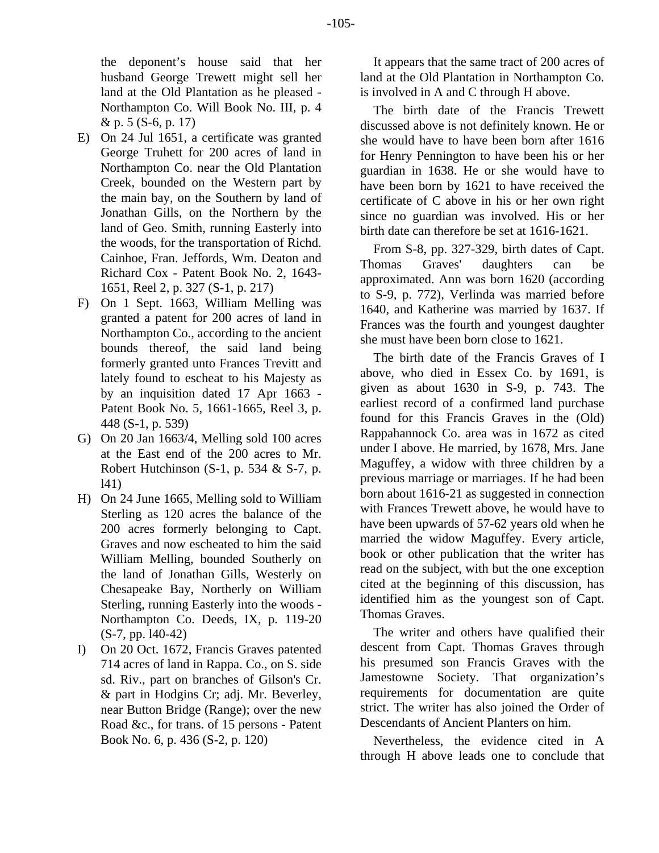the deponent's house said that her husband George Trewett might sell her land at the Old Plantation as he pleased - Northampton Co. Will Book No. III, p. 4 & p. 5 (S-6, p. 17)

- E) On 24 Jul 1651, a certificate was granted George Truhett for 200 acres of land in Northampton Co. near the Old Plantation Creek, bounded on the Western part by the main bay, on the Southern by land of Jonathan Gills, on the Northern by the land of Geo. Smith, running Easterly into the woods, for the transportation of Richd. Cainhoe, Fran. Jeffords, Wm. Deaton and Richard Cox - Patent Book No. 2, 1643- 1651, Reel 2, p. 327 (S-1, p. 217)
- F) On 1 Sept. 1663, William Melling was granted a patent for 200 acres of land in Northampton Co., according to the ancient bounds thereof, the said land being formerly granted unto Frances Trevitt and lately found to escheat to his Majesty as by an inquisition dated 17 Apr 1663 - Patent Book No. 5, 1661-1665, Reel 3, p. 448 (S-1, p. 539)
- G) On 20 Jan 1663/4, Melling sold 100 acres at the East end of the 200 acres to Mr. Robert Hutchinson  $(S-1, p. 534 \& S-7, p.$ l41)
- H) On 24 June 1665, Melling sold to William Sterling as 120 acres the balance of the 200 acres formerly belonging to Capt. Graves and now escheated to him the said William Melling, bounded Southerly on the land of Jonathan Gills, Westerly on Chesapeake Bay, Northerly on William Sterling, running Easterly into the woods - Northampton Co. Deeds, IX, p. 119-20 (S-7, pp. l40-42)
- I) On 20 Oct. 1672, Francis Graves patented 714 acres of land in Rappa. Co., on S. side sd. Riv., part on branches of Gilson's Cr. & part in Hodgins Cr; adj. Mr. Beverley, near Button Bridge (Range); over the new Road &c., for trans. of 15 persons - Patent Book No. 6, p. 436 (S-2, p. 120)

It appears that the same tract of 200 acres of land at the Old Plantation in Northampton Co. is involved in A and C through H above.

The birth date of the Francis Trewett discussed above is not definitely known. He or she would have to have been born after 1616 for Henry Pennington to have been his or her guardian in 1638. He or she would have to have been born by 1621 to have received the certificate of C above in his or her own right since no guardian was involved. His or her birth date can therefore be set at 1616-1621.

From S-8, pp. 327-329, birth dates of Capt. Thomas Graves' daughters can be approximated. Ann was born 1620 (according to S-9, p. 772), Verlinda was married before 1640, and Katherine was married by 1637. If Frances was the fourth and youngest daughter she must have been born close to 1621.

The birth date of the Francis Graves of I above, who died in Essex Co. by 1691, is given as about 1630 in S-9, p. 743. The earliest record of a confirmed land purchase found for this Francis Graves in the (Old) Rappahannock Co. area was in 1672 as cited under I above. He married, by 1678, Mrs. Jane Maguffey, a widow with three children by a previous marriage or marriages. If he had been born about 1616-21 as suggested in connection with Frances Trewett above, he would have to have been upwards of 57-62 years old when he married the widow Maguffey. Every article, book or other publication that the writer has read on the subject, with but the one exception cited at the beginning of this discussion, has identified him as the youngest son of Capt. Thomas Graves.

The writer and others have qualified their descent from Capt. Thomas Graves through his presumed son Francis Graves with the Jamestowne Society. That organization's requirements for documentation are quite strict. The writer has also joined the Order of Descendants of Ancient Planters on him.

Nevertheless, the evidence cited in A through H above leads one to conclude that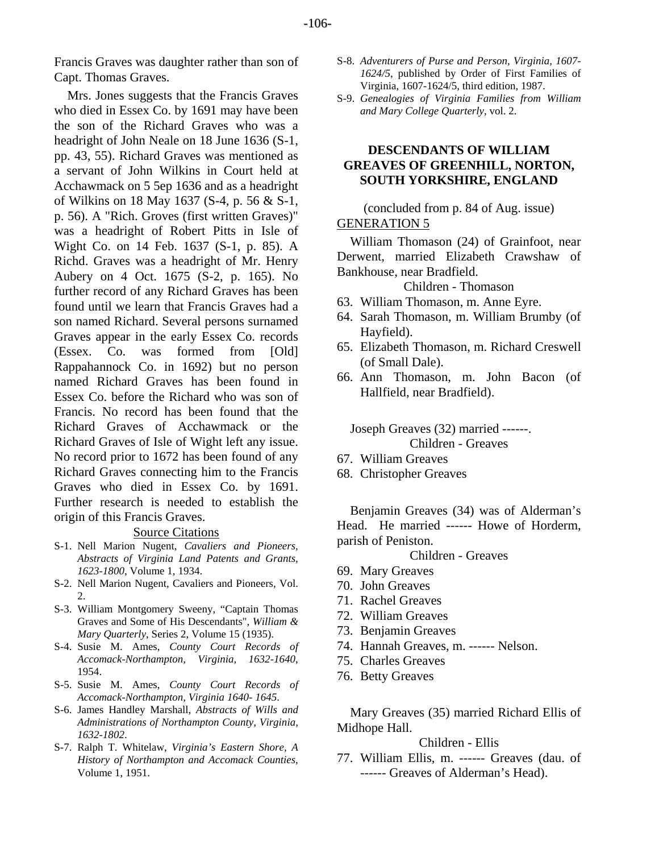Francis Graves was daughter rather than son of Capt. Thomas Graves.

Mrs. Jones suggests that the Francis Graves who died in Essex Co. by 1691 may have been the son of the Richard Graves who was a headright of John Neale on 18 June 1636 (S-1, pp. 43, 55). Richard Graves was mentioned as a servant of John Wilkins in Court held at Acchawmack on 5 5ep 1636 and as a headright of Wilkins on 18 May 1637 (S-4, p. 56 & S-1, p. 56). A "Rich. Groves (first written Graves)" was a headright of Robert Pitts in Isle of Wight Co. on 14 Feb. 1637 (S-1, p. 85). A Richd. Graves was a headright of Mr. Henry Aubery on 4 Oct. 1675 (S-2, p. 165). No further record of any Richard Graves has been found until we learn that Francis Graves had a son named Richard. Several persons surnamed Graves appear in the early Essex Co. records (Essex. Co. was formed from [Old] Rappahannock Co. in 1692) but no person named Richard Graves has been found in Essex Co. before the Richard who was son of Francis. No record has been found that the Richard Graves of Acchawmack or the Richard Graves of Isle of Wight left any issue. No record prior to 1672 has been found of any Richard Graves connecting him to the Francis Graves who died in Essex Co. by 1691. Further research is needed to establish the origin of this Francis Graves.

## Source Citations

- S-1. Nell Marion Nugent, *Cavaliers and Pioneers, Abstracts of Virginia Land Patents and Grants, 1623-1800*, Volume 1, 1934.
- S-2. Nell Marion Nugent, Cavaliers and Pioneers, Vol. 2.
- S-3. William Montgomery Sweeny, "Captain Thomas Graves and Some of His Descendants", *William & Mary Quarterly*, Series 2, Volume 15 (1935).
- S-4. Susie M. Ames, *County Court Records of Accomack-Northampton, Virginia, 1632-1640*, 1954.
- S-5. Susie M. Ames, *County Court Records of Accomack-Northampton, Virginia 1640- 1645*.
- S-6. James Handley Marshall, *Abstracts of Wills and Administrations of Northampton County, Virginia, 1632-1802*.
- S-7. Ralph T. Whitelaw, *Virginia's Eastern Shore, A History of Northampton and Accomack Counties*, Volume 1, 1951.
- S-8. *Adventurers of Purse and Person, Virginia, 1607- 1624/5*, published by Order of First Families of Virginia, 1607-1624/5, third edition, 1987.
- S-9. *Genealogies of Virginia Families from William and Mary College Quarterly*, vol. 2.

# **DESCENDANTS OF WILLIAM GREAVES OF GREENHILL, NORTON, SOUTH YORKSHIRE, ENGLAND**

(concluded from p. 84 of Aug. issue) GENERATION 5

William Thomason (24) of Grainfoot, near Derwent, married Elizabeth Crawshaw of Bankhouse, near Bradfield.

#### Children - Thomason

- 63. William Thomason, m. Anne Eyre.
- 64. Sarah Thomason, m. William Brumby (of Hayfield).
- 65. Elizabeth Thomason, m. Richard Creswell (of Small Dale).
- 66. Ann Thomason, m. John Bacon (of Hallfield, near Bradfield).

Joseph Greaves (32) married ------. Children - Greaves

- 67. William Greaves
- 68. Christopher Greaves

Benjamin Greaves (34) was of Alderman's Head. He married ------ Howe of Horderm, parish of Peniston.

#### Children - Greaves

- 69. Mary Greaves
- 70. John Greaves
- 71. Rachel Greaves
- 72. William Greaves
- 73. Benjamin Greaves
- 74. Hannah Greaves, m. ------ Nelson.
- 75. Charles Greaves
- 76. Betty Greaves

Mary Greaves (35) married Richard Ellis of Midhope Hall.

## Children - Ellis

77. William Ellis, m. ------ Greaves (dau. of ------ Greaves of Alderman's Head).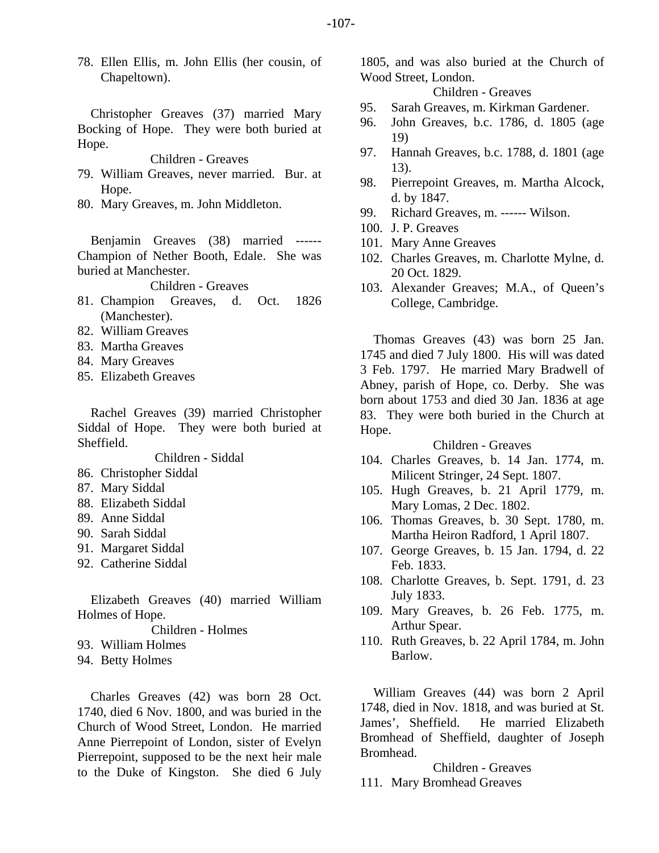78. Ellen Ellis, m. John Ellis (her cousin, of Chapeltown).

Christopher Greaves (37) married Mary Bocking of Hope. They were both buried at Hope.

Children - Greaves

- 79. William Greaves, never married. Bur. at Hope.
- 80. Mary Greaves, m. John Middleton.

Benjamin Greaves (38) married ------ Champion of Nether Booth, Edale. She was buried at Manchester.

Children - Greaves

- 81. Champion Greaves, d. Oct. 1826 (Manchester).
- 82. William Greaves
- 83. Martha Greaves
- 84. Mary Greaves
- 85. Elizabeth Greaves

Rachel Greaves (39) married Christopher Siddal of Hope. They were both buried at Sheffield.

Children - Siddal

- 86. Christopher Siddal
- 87. Mary Siddal
- 88. Elizabeth Siddal
- 89. Anne Siddal
- 90. Sarah Siddal
- 91. Margaret Siddal
- 92. Catherine Siddal

Elizabeth Greaves (40) married William Holmes of Hope.

Children - Holmes

- 93. William Holmes
- 94. Betty Holmes

Charles Greaves (42) was born 28 Oct. 1740, died 6 Nov. 1800, and was buried in the Church of Wood Street, London. He married Anne Pierrepoint of London, sister of Evelyn Pierrepoint, supposed to be the next heir male to the Duke of Kingston. She died 6 July

1805, and was also buried at the Church of Wood Street, London.

Children - Greaves

- 95. Sarah Greaves, m. Kirkman Gardener.
- 96. John Greaves, b.c. 1786, d. 1805 (age 19)
- 97. Hannah Greaves, b.c. 1788, d. 1801 (age 13).
- 98. Pierrepoint Greaves, m. Martha Alcock, d. by 1847.
- 99. Richard Greaves, m. ------ Wilson.
- 100. J. P. Greaves
- 101. Mary Anne Greaves
- 102. Charles Greaves, m. Charlotte Mylne, d. 20 Oct. 1829.
- 103. Alexander Greaves; M.A., of Queen's College, Cambridge.

Thomas Greaves (43) was born 25 Jan. 1745 and died 7 July 1800. His will was dated 3 Feb. 1797. He married Mary Bradwell of Abney, parish of Hope, co. Derby. She was born about 1753 and died 30 Jan. 1836 at age 83. They were both buried in the Church at Hope.

Children - Greaves

- 104. Charles Greaves, b. 14 Jan. 1774, m. Milicent Stringer, 24 Sept. 1807.
- 105. Hugh Greaves, b. 21 April 1779, m. Mary Lomas, 2 Dec. 1802.
- 106. Thomas Greaves, b. 30 Sept. 1780, m. Martha Heiron Radford, 1 April 1807.
- 107. George Greaves, b. 15 Jan. 1794, d. 22 Feb. 1833.
- 108. Charlotte Greaves, b. Sept. 1791, d. 23 July 1833.
- 109. Mary Greaves, b. 26 Feb. 1775, m. Arthur Spear.
- 110. Ruth Greaves, b. 22 April 1784, m. John Barlow.

William Greaves (44) was born 2 April 1748, died in Nov. 1818, and was buried at St. James', Sheffield. He married Elizabeth Bromhead of Sheffield, daughter of Joseph Bromhead.

Children - Greaves

111. Mary Bromhead Greaves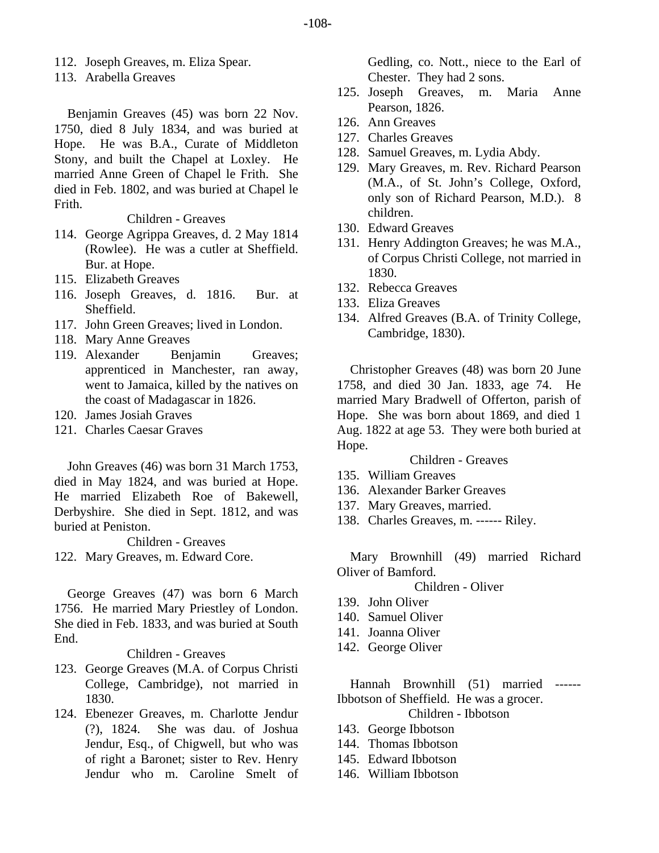- 112. Joseph Greaves, m. Eliza Spear.
- 113. Arabella Greaves

Benjamin Greaves (45) was born 22 Nov. 1750, died 8 July 1834, and was buried at Hope. He was B.A., Curate of Middleton Stony, and built the Chapel at Loxley. He married Anne Green of Chapel le Frith. She died in Feb. 1802, and was buried at Chapel le Frith.

Children - Greaves

- 114. George Agrippa Greaves, d. 2 May 1814 (Rowlee). He was a cutler at Sheffield. Bur. at Hope.
- 115. Elizabeth Greaves
- 116. Joseph Greaves, d. 1816. Bur. at Sheffield.
- 117. John Green Greaves; lived in London.
- 118. Mary Anne Greaves
- 119. Alexander Benjamin Greaves; apprenticed in Manchester, ran away, went to Jamaica, killed by the natives on the coast of Madagascar in 1826.
- 120. James Josiah Graves
- 121. Charles Caesar Graves

John Greaves (46) was born 31 March 1753, died in May 1824, and was buried at Hope. He married Elizabeth Roe of Bakewell, Derbyshire. She died in Sept. 1812, and was buried at Peniston.

Children - Greaves 122. Mary Greaves, m. Edward Core.

George Greaves (47) was born 6 March 1756. He married Mary Priestley of London. She died in Feb. 1833, and was buried at South End.

#### Children - Greaves

- 123. George Greaves (M.A. of Corpus Christi College, Cambridge), not married in 1830.
- 124. Ebenezer Greaves, m. Charlotte Jendur (?), 1824. She was dau. of Joshua Jendur, Esq., of Chigwell, but who was of right a Baronet; sister to Rev. Henry Jendur who m. Caroline Smelt of

Gedling, co. Nott., niece to the Earl of Chester. They had 2 sons.

- 125. Joseph Greaves, m. Maria Anne Pearson, 1826.
- 126. Ann Greaves
- 127. Charles Greaves
- 128. Samuel Greaves, m. Lydia Abdy.
- 129. Mary Greaves, m. Rev. Richard Pearson (M.A., of St. John's College, Oxford, only son of Richard Pearson, M.D.). 8 children.
- 130. Edward Greaves
- 131. Henry Addington Greaves; he was M.A., of Corpus Christi College, not married in 1830.
- 132. Rebecca Greaves
- 133. Eliza Greaves
- 134. Alfred Greaves (B.A. of Trinity College, Cambridge, 1830).

Christopher Greaves (48) was born 20 June 1758, and died 30 Jan. 1833, age 74. He married Mary Bradwell of Offerton, parish of Hope. She was born about 1869, and died 1 Aug. 1822 at age 53. They were both buried at Hope.

## Children - Greaves

- 135. William Greaves
- 136. Alexander Barker Greaves
- 137. Mary Greaves, married.
- 138. Charles Greaves, m. ------ Riley.

Mary Brownhill (49) married Richard Oliver of Bamford.

Children - Oliver

- 139. John Oliver
- 140. Samuel Oliver
- 141. Joanna Oliver
- 142. George Oliver

Hannah Brownhill (51) married ------ Ibbotson of Sheffield. He was a grocer.

Children - Ibbotson

- 143. George Ibbotson
- 144. Thomas Ibbotson
- 145. Edward Ibbotson
- 146. William Ibbotson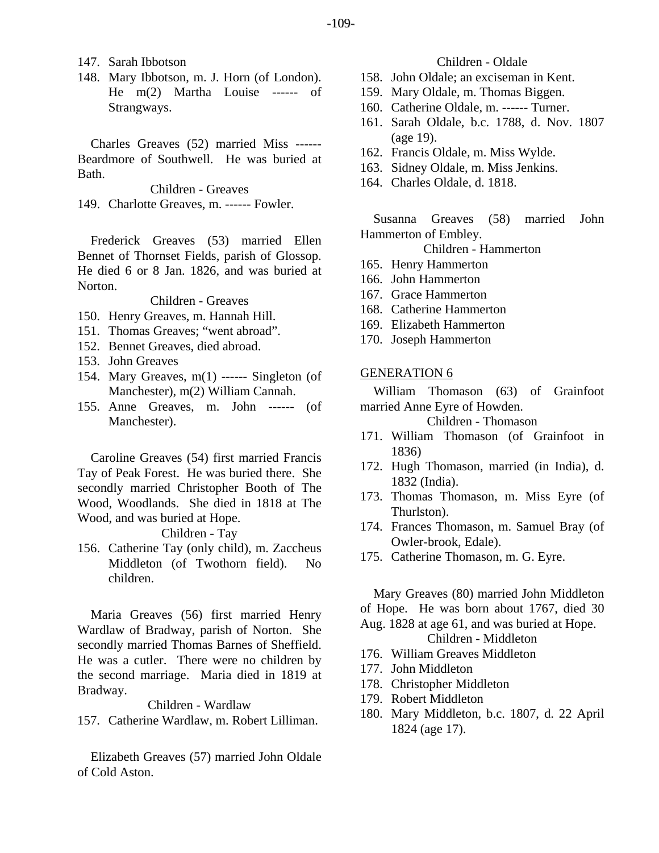- 147. Sarah Ibbotson
- 148. Mary Ibbotson, m. J. Horn (of London). He m(2) Martha Louise ------ of Strangways.

Charles Greaves (52) married Miss ------ Beardmore of Southwell. He was buried at Bath.

Children - Greaves 149. Charlotte Greaves, m. ------ Fowler.

Frederick Greaves (53) married Ellen Bennet of Thornset Fields, parish of Glossop. He died 6 or 8 Jan. 1826, and was buried at Norton.

# Children - Greaves

- 150. Henry Greaves, m. Hannah Hill.
- 151. Thomas Greaves; "went abroad".
- 152. Bennet Greaves, died abroad.
- 153. John Greaves
- 154. Mary Greaves, m(1) ------ Singleton (of Manchester), m(2) William Cannah.
- 155. Anne Greaves, m. John ------ (of Manchester).

Caroline Greaves (54) first married Francis Tay of Peak Forest. He was buried there. She secondly married Christopher Booth of The Wood, Woodlands. She died in 1818 at The Wood, and was buried at Hope.

## Children - Tay

156. Catherine Tay (only child), m. Zaccheus Middleton (of Twothorn field). No children.

Maria Greaves (56) first married Henry Wardlaw of Bradway, parish of Norton. She secondly married Thomas Barnes of Sheffield. He was a cutler. There were no children by the second marriage. Maria died in 1819 at Bradway.

Children - Wardlaw 157. Catherine Wardlaw, m. Robert Lilliman.

Elizabeth Greaves (57) married John Oldale of Cold Aston.

#### Children - Oldale

- 158. John Oldale; an exciseman in Kent.
- 159. Mary Oldale, m. Thomas Biggen.
- 160. Catherine Oldale, m. ------ Turner.
- 161. Sarah Oldale, b.c. 1788, d. Nov. 1807 (age 19).
- 162. Francis Oldale, m. Miss Wylde.
- 163. Sidney Oldale, m. Miss Jenkins.
- 164. Charles Oldale, d. 1818.

Susanna Greaves (58) married John Hammerton of Embley.

Children - Hammerton

- 165. Henry Hammerton
- 166. John Hammerton
- 167. Grace Hammerton
- 168. Catherine Hammerton
- 169. Elizabeth Hammerton
- 170. Joseph Hammerton

## GENERATION 6

William Thomason (63) of Grainfoot married Anne Eyre of Howden.

Children - Thomason

- 171. William Thomason (of Grainfoot in 1836)
- 172. Hugh Thomason, married (in India), d. 1832 (India).
- 173. Thomas Thomason, m. Miss Eyre (of Thurlston).
- 174. Frances Thomason, m. Samuel Bray (of Owler-brook, Edale).
- 175. Catherine Thomason, m. G. Eyre.

Mary Greaves (80) married John Middleton of Hope. He was born about 1767, died 30 Aug. 1828 at age 61, and was buried at Hope.

- Children Middleton
- 176. William Greaves Middleton
- 177. John Middleton
- 178. Christopher Middleton
- 179. Robert Middleton
- 180. Mary Middleton, b.c. 1807, d. 22 April 1824 (age 17).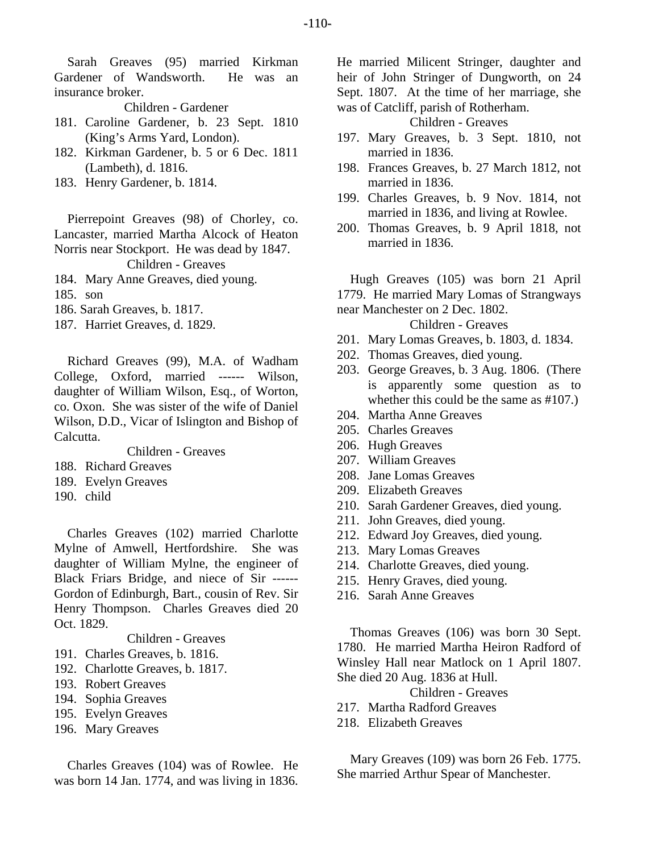Sarah Greaves (95) married Kirkman Gardener of Wandsworth. He was an insurance broker.

Children - Gardener

- 181. Caroline Gardener, b. 23 Sept. 1810 (King's Arms Yard, London).
- 182. Kirkman Gardener, b. 5 or 6 Dec. 1811 (Lambeth), d. 1816.
- 183. Henry Gardener, b. 1814.

Pierrepoint Greaves (98) of Chorley, co. Lancaster, married Martha Alcock of Heaton Norris near Stockport. He was dead by 1847.

Children - Greaves

184. Mary Anne Greaves, died young.

185. son

186. Sarah Greaves, b. 1817.

187. Harriet Greaves, d. 1829.

Richard Greaves (99), M.A. of Wadham College, Oxford, married ------ Wilson, daughter of William Wilson, Esq., of Worton, co. Oxon. She was sister of the wife of Daniel Wilson, D.D., Vicar of Islington and Bishop of Calcutta.

Children - Greaves

- 188. Richard Greaves
- 189. Evelyn Greaves
- 190. child

Charles Greaves (102) married Charlotte Mylne of Amwell, Hertfordshire. She was daughter of William Mylne, the engineer of Black Friars Bridge, and niece of Sir ------ Gordon of Edinburgh, Bart., cousin of Rev. Sir Henry Thompson. Charles Greaves died 20 Oct. 1829.

Children - Greaves

- 191. Charles Greaves, b. 1816.
- 192. Charlotte Greaves, b. 1817.
- 193. Robert Greaves
- 194. Sophia Greaves
- 195. Evelyn Greaves
- 196. Mary Greaves

Charles Greaves (104) was of Rowlee. He was born 14 Jan. 1774, and was living in 1836.

He married Milicent Stringer, daughter and heir of John Stringer of Dungworth, on 24 Sept. 1807. At the time of her marriage, she was of Catcliff, parish of Rotherham.

Children - Greaves

- 197. Mary Greaves, b. 3 Sept. 1810, not married in 1836.
- 198. Frances Greaves, b. 27 March 1812, not married in 1836.
- 199. Charles Greaves, b. 9 Nov. 1814, not married in 1836, and living at Rowlee.
- 200. Thomas Greaves, b. 9 April 1818, not married in 1836.

Hugh Greaves (105) was born 21 April 1779. He married Mary Lomas of Strangways near Manchester on 2 Dec. 1802.

#### Children - Greaves

- 201. Mary Lomas Greaves, b. 1803, d. 1834.
- 202. Thomas Greaves, died young.
- 203. George Greaves, b. 3 Aug. 1806. (There is apparently some question as to whether this could be the same as #107.)
- 204. Martha Anne Greaves
- 205. Charles Greaves
- 206. Hugh Greaves
- 207. William Greaves
- 208. Jane Lomas Greaves
- 209. Elizabeth Greaves
- 210. Sarah Gardener Greaves, died young.
- 211. John Greaves, died young.
- 212. Edward Joy Greaves, died young.
- 213. Mary Lomas Greaves
- 214. Charlotte Greaves, died young.
- 215. Henry Graves, died young.
- 216. Sarah Anne Greaves

Thomas Greaves (106) was born 30 Sept. 1780. He married Martha Heiron Radford of Winsley Hall near Matlock on 1 April 1807. She died 20 Aug. 1836 at Hull.

Children - Greaves

- 217. Martha Radford Greaves
- 218. Elizabeth Greaves

Mary Greaves (109) was born 26 Feb. 1775. She married Arthur Spear of Manchester.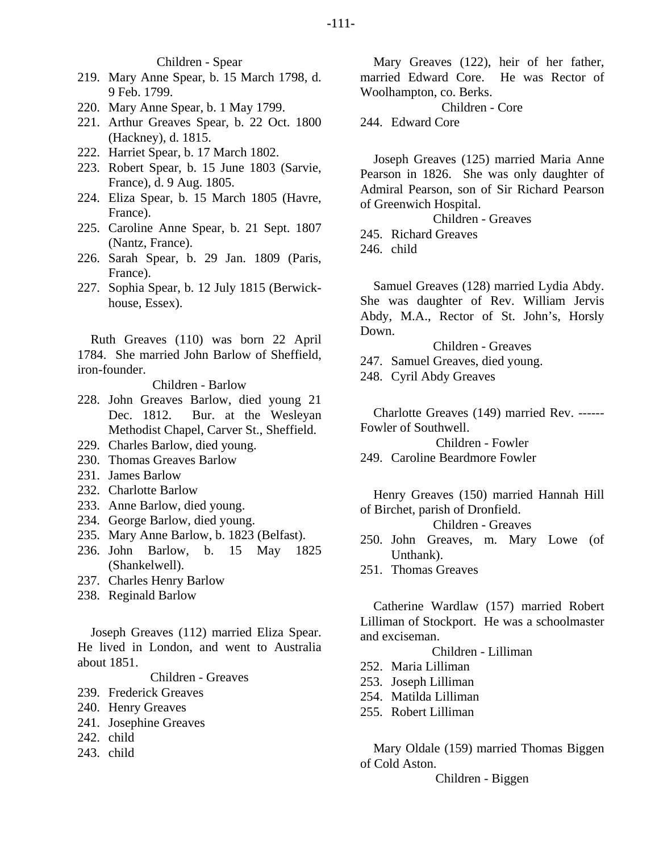Children - Spear

- 219. Mary Anne Spear, b. 15 March 1798, d. 9 Feb. 1799.
- 220. Mary Anne Spear, b. 1 May 1799.
- 221. Arthur Greaves Spear, b. 22 Oct. 1800 (Hackney), d. 1815.
- 222. Harriet Spear, b. 17 March 1802.
- 223. Robert Spear, b. 15 June 1803 (Sarvie, France), d. 9 Aug. 1805.
- 224. Eliza Spear, b. 15 March 1805 (Havre, France).
- 225. Caroline Anne Spear, b. 21 Sept. 1807 (Nantz, France).
- 226. Sarah Spear, b. 29 Jan. 1809 (Paris, France).
- 227. Sophia Spear, b. 12 July 1815 (Berwickhouse, Essex).

Ruth Greaves (110) was born 22 April 1784. She married John Barlow of Sheffield, iron-founder.

Children - Barlow

- 228. John Greaves Barlow, died young 21 Dec. 1812. Bur. at the Wesleyan Methodist Chapel, Carver St., Sheffield.
- 229. Charles Barlow, died young.
- 230. Thomas Greaves Barlow
- 231. James Barlow
- 232. Charlotte Barlow
- 233. Anne Barlow, died young.
- 234. George Barlow, died young.
- 235. Mary Anne Barlow, b. 1823 (Belfast).
- 236. John Barlow, b. 15 May 1825 (Shankelwell).
- 237. Charles Henry Barlow
- 238. Reginald Barlow

Joseph Greaves (112) married Eliza Spear. He lived in London, and went to Australia about 1851.

Children - Greaves

- 239. Frederick Greaves
- 240. Henry Greaves
- 241. Josephine Greaves
- 242. child
- 243. child

Mary Greaves (122), heir of her father, married Edward Core. He was Rector of Woolhampton, co. Berks.

Children - Core

## 244. Edward Core

Joseph Greaves (125) married Maria Anne Pearson in 1826. She was only daughter of Admiral Pearson, son of Sir Richard Pearson of Greenwich Hospital.

Children - Greaves

245. Richard Greaves

246. child

Samuel Greaves (128) married Lydia Abdy. She was daughter of Rev. William Jervis Abdy, M.A., Rector of St. John's, Horsly Down.

Children - Greaves

- 247. Samuel Greaves, died young.
- 248. Cyril Abdy Greaves

Charlotte Greaves (149) married Rev. ------ Fowler of Southwell.

Children - Fowler

249. Caroline Beardmore Fowler

Henry Greaves (150) married Hannah Hill of Birchet, parish of Dronfield.

Children - Greaves

- 250. John Greaves, m. Mary Lowe (of Unthank).
- 251. Thomas Greaves

Catherine Wardlaw (157) married Robert Lilliman of Stockport. He was a schoolmaster and exciseman.

Children - Lilliman

- 252. Maria Lilliman
- 253. Joseph Lilliman
- 254. Matilda Lilliman
- 255. Robert Lilliman

Mary Oldale (159) married Thomas Biggen of Cold Aston.

Children - Biggen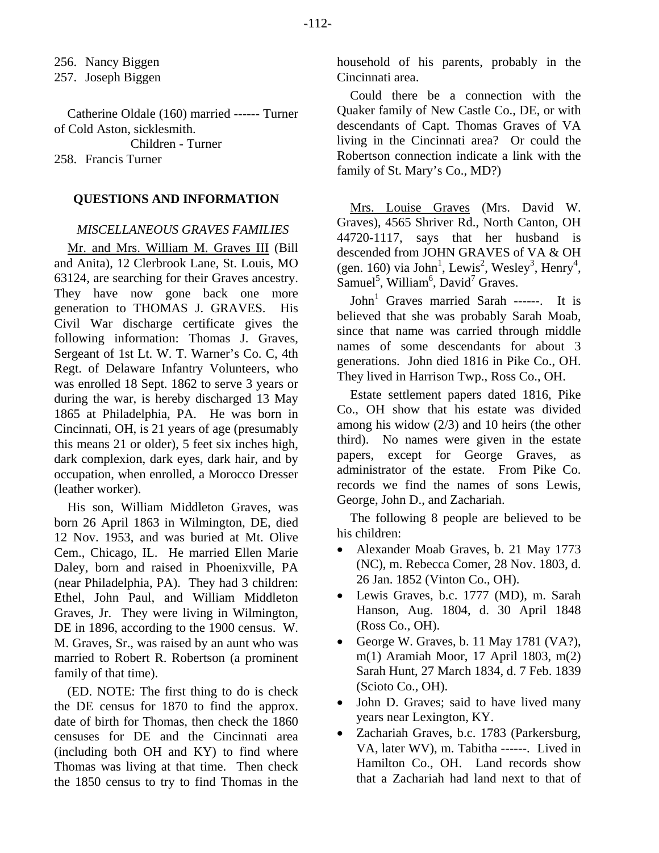256. Nancy Biggen 257. Joseph Biggen

Catherine Oldale (160) married ------ Turner of Cold Aston, sicklesmith. Children - Turner 258. Francis Turner

#### **QUESTIONS AND INFORMATION**

#### *MISCELLANEOUS GRAVES FAMILIES*

Mr. and Mrs. William M. Graves III (Bill and Anita), 12 Clerbrook Lane, St. Louis, MO 63124, are searching for their Graves ancestry. They have now gone back one more generation to THOMAS J. GRAVES. His Civil War discharge certificate gives the following information: Thomas J. Graves, Sergeant of 1st Lt. W. T. Warner's Co. C, 4th Regt. of Delaware Infantry Volunteers, who was enrolled 18 Sept. 1862 to serve 3 years or during the war, is hereby discharged 13 May 1865 at Philadelphia, PA. He was born in Cincinnati, OH, is 21 years of age (presumably this means 21 or older), 5 feet six inches high, dark complexion, dark eyes, dark hair, and by occupation, when enrolled, a Morocco Dresser (leather worker).

His son, William Middleton Graves, was born 26 April 1863 in Wilmington, DE, died 12 Nov. 1953, and was buried at Mt. Olive Cem., Chicago, IL. He married Ellen Marie Daley, born and raised in Phoenixville, PA (near Philadelphia, PA). They had 3 children: Ethel, John Paul, and William Middleton Graves, Jr. They were living in Wilmington, DE in 1896, according to the 1900 census. W. M. Graves, Sr., was raised by an aunt who was married to Robert R. Robertson (a prominent family of that time).

(ED. NOTE: The first thing to do is check the DE census for 1870 to find the approx. date of birth for Thomas, then check the 1860 censuses for DE and the Cincinnati area (including both OH and KY) to find where Thomas was living at that time. Then check the 1850 census to try to find Thomas in the

household of his parents, probably in the Cincinnati area.

Could there be a connection with the Quaker family of New Castle Co., DE, or with descendants of Capt. Thomas Graves of VA living in the Cincinnati area? Or could the Robertson connection indicate a link with the family of St. Mary's Co., MD?)

Mrs. Louise Graves (Mrs. David W. Graves), 4565 Shriver Rd., North Canton, OH 44720-1117, says that her husband is descended from JOHN GRAVES of VA & OH (gen. 160) via John<sup>1</sup>, Lewis<sup>2</sup>, Wesley<sup>3</sup>, Henry<sup>4</sup>, Samuel<sup>5</sup>, William<sup>6</sup>, David<sup>7</sup> Graves.

John<sup>1</sup> Graves married Sarah ------. It is believed that she was probably Sarah Moab, since that name was carried through middle names of some descendants for about 3 generations. John died 1816 in Pike Co., OH. They lived in Harrison Twp., Ross Co., OH.

Estate settlement papers dated 1816, Pike Co., OH show that his estate was divided among his widow (2/3) and 10 heirs (the other third). No names were given in the estate papers, except for George Graves, as administrator of the estate. From Pike Co. records we find the names of sons Lewis, George, John D., and Zachariah.

The following 8 people are believed to be his children:

- Alexander Moab Graves, b. 21 May 1773 (NC), m. Rebecca Comer, 28 Nov. 1803, d. 26 Jan. 1852 (Vinton Co., OH).
- Lewis Graves, b.c. 1777 (MD), m. Sarah Hanson, Aug. 1804, d. 30 April 1848 (Ross Co., OH).
- George W. Graves, b. 11 May 1781 (VA?), m(1) Aramiah Moor, 17 April 1803, m(2) Sarah Hunt, 27 March 1834, d. 7 Feb. 1839 (Scioto Co., OH).
- John D. Graves; said to have lived many years near Lexington, KY.
- Zachariah Graves, b.c. 1783 (Parkersburg, VA, later WV), m. Tabitha ------. Lived in Hamilton Co., OH. Land records show that a Zachariah had land next to that of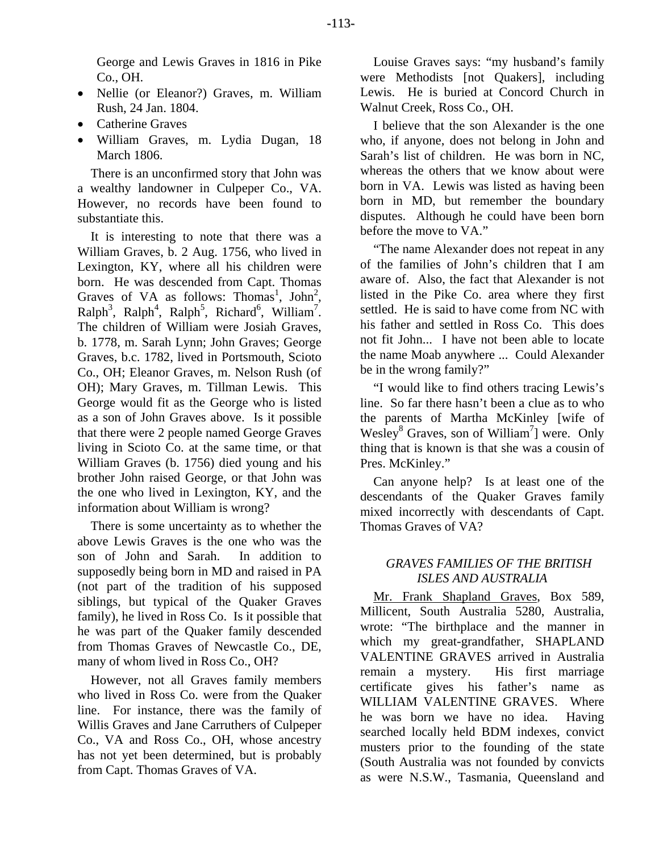George and Lewis Graves in 1816 in Pike Co., OH.

- Nellie (or Eleanor?) Graves, m. William Rush, 24 Jan. 1804.
- Catherine Graves
- William Graves, m. Lydia Dugan, 18 March 1806.

There is an unconfirmed story that John was a wealthy landowner in Culpeper Co., VA. However, no records have been found to substantiate this.

It is interesting to note that there was a William Graves, b. 2 Aug. 1756, who lived in Lexington, KY, where all his children were born. He was descended from Capt. Thomas Graves of VA as follows: Thomas<sup>1</sup>, John<sup>2</sup>, Ralph<sup>3</sup>, Ralph<sup>4</sup>, Ralph<sup>5</sup>, Richard<sup>6</sup>, William<sup>7</sup>. The children of William were Josiah Graves, b. 1778, m. Sarah Lynn; John Graves; George Graves, b.c. 1782, lived in Portsmouth, Scioto Co., OH; Eleanor Graves, m. Nelson Rush (of OH); Mary Graves, m. Tillman Lewis. This George would fit as the George who is listed as a son of John Graves above. Is it possible that there were 2 people named George Graves living in Scioto Co. at the same time, or that William Graves (b. 1756) died young and his brother John raised George, or that John was the one who lived in Lexington, KY, and the information about William is wrong?

There is some uncertainty as to whether the above Lewis Graves is the one who was the son of John and Sarah. In addition to supposedly being born in MD and raised in PA (not part of the tradition of his supposed siblings, but typical of the Quaker Graves family), he lived in Ross Co. Is it possible that he was part of the Quaker family descended from Thomas Graves of Newcastle Co., DE, many of whom lived in Ross Co., OH?

However, not all Graves family members who lived in Ross Co. were from the Quaker line. For instance, there was the family of Willis Graves and Jane Carruthers of Culpeper Co., VA and Ross Co., OH, whose ancestry has not yet been determined, but is probably from Capt. Thomas Graves of VA.

Louise Graves says: "my husband's family were Methodists [not Quakers], including Lewis. He is buried at Concord Church in Walnut Creek, Ross Co., OH.

I believe that the son Alexander is the one who, if anyone, does not belong in John and Sarah's list of children. He was born in NC, whereas the others that we know about were born in VA. Lewis was listed as having been born in MD, but remember the boundary disputes. Although he could have been born before the move to VA."

"The name Alexander does not repeat in any of the families of John's children that I am aware of. Also, the fact that Alexander is not listed in the Pike Co. area where they first settled. He is said to have come from NC with his father and settled in Ross Co. This does not fit John... I have not been able to locate the name Moab anywhere ... Could Alexander be in the wrong family?"

"I would like to find others tracing Lewis's line. So far there hasn't been a clue as to who the parents of Martha McKinley [wife of Wesley<sup>8</sup> Graves, son of William<sup>7</sup>] were. Only thing that is known is that she was a cousin of Pres. McKinley."

Can anyone help? Is at least one of the descendants of the Quaker Graves family mixed incorrectly with descendants of Capt. Thomas Graves of VA?

## *GRAVES FAMILIES OF THE BRITISH ISLES AND AUSTRALIA*

Mr. Frank Shapland Graves, Box 589, Millicent, South Australia 5280, Australia, wrote: "The birthplace and the manner in which my great-grandfather, SHAPLAND VALENTINE GRAVES arrived in Australia remain a mystery. His first marriage certificate gives his father's name as WILLIAM VALENTINE GRAVES. Where he was born we have no idea. Having searched locally held BDM indexes, convict musters prior to the founding of the state (South Australia was not founded by convicts as were N.S.W., Tasmania, Queensland and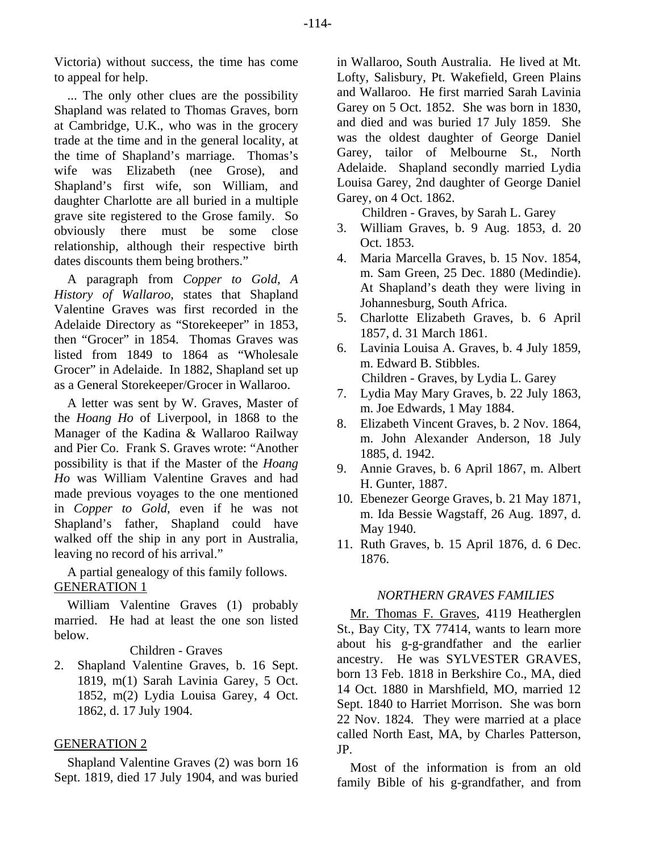Victoria) without success, the time has come to appeal for help.

... The only other clues are the possibility Shapland was related to Thomas Graves, born at Cambridge, U.K., who was in the grocery trade at the time and in the general locality, at the time of Shapland's marriage. Thomas's wife was Elizabeth (nee Grose), and Shapland's first wife, son William, and daughter Charlotte are all buried in a multiple grave site registered to the Grose family. So obviously there must be some close relationship, although their respective birth dates discounts them being brothers."

A paragraph from *Copper to Gold, A History of Wallaroo*, states that Shapland Valentine Graves was first recorded in the Adelaide Directory as "Storekeeper" in 1853, then "Grocer" in 1854. Thomas Graves was listed from 1849 to 1864 as "Wholesale Grocer" in Adelaide. In 1882, Shapland set up as a General Storekeeper/Grocer in Wallaroo.

A letter was sent by W. Graves, Master of the *Hoang Ho* of Liverpool, in 1868 to the Manager of the Kadina & Wallaroo Railway and Pier Co. Frank S. Graves wrote: "Another possibility is that if the Master of the *Hoang Ho* was William Valentine Graves and had made previous voyages to the one mentioned in *Copper to Gold*, even if he was not Shapland's father, Shapland could have walked off the ship in any port in Australia, leaving no record of his arrival."

A partial genealogy of this family follows. GENERATION 1

William Valentine Graves (1) probably married. He had at least the one son listed below.

## Children - Graves

2. Shapland Valentine Graves, b. 16 Sept. 1819, m(1) Sarah Lavinia Garey, 5 Oct. 1852, m(2) Lydia Louisa Garey, 4 Oct. 1862, d. 17 July 1904.

### GENERATION 2

Shapland Valentine Graves (2) was born 16 Sept. 1819, died 17 July 1904, and was buried in Wallaroo, South Australia. He lived at Mt. Lofty, Salisbury, Pt. Wakefield, Green Plains and Wallaroo. He first married Sarah Lavinia Garey on 5 Oct. 1852. She was born in 1830, and died and was buried 17 July 1859. She was the oldest daughter of George Daniel Garey, tailor of Melbourne St., North Adelaide. Shapland secondly married Lydia Louisa Garey, 2nd daughter of George Daniel Garey, on 4 Oct. 1862.

Children - Graves, by Sarah L. Garey

- 3. William Graves, b. 9 Aug. 1853, d. 20 Oct. 1853.
- 4. Maria Marcella Graves, b. 15 Nov. 1854, m. Sam Green, 25 Dec. 1880 (Medindie). At Shapland's death they were living in Johannesburg, South Africa.
- 5. Charlotte Elizabeth Graves, b. 6 April 1857, d. 31 March 1861.
- 6. Lavinia Louisa A. Graves, b. 4 July 1859, m. Edward B. Stibbles. Children - Graves, by Lydia L. Garey
- 7. Lydia May Mary Graves, b. 22 July 1863, m. Joe Edwards, 1 May 1884.
- 8. Elizabeth Vincent Graves, b. 2 Nov. 1864, m. John Alexander Anderson, 18 July 1885, d. 1942.
- 9. Annie Graves, b. 6 April 1867, m. Albert H. Gunter, 1887.
- 10. Ebenezer George Graves, b. 21 May 1871, m. Ida Bessie Wagstaff, 26 Aug. 1897, d. May 1940.
- 11. Ruth Graves, b. 15 April 1876, d. 6 Dec. 1876.

## *NORTHERN GRAVES FAMILIES*

Mr. Thomas F. Graves, 4119 Heatherglen St., Bay City, TX 77414, wants to learn more about his g-g-grandfather and the earlier ancestry. He was SYLVESTER GRAVES, born 13 Feb. 1818 in Berkshire Co., MA, died 14 Oct. 1880 in Marshfield, MO, married 12 Sept. 1840 to Harriet Morrison. She was born 22 Nov. 1824. They were married at a place called North East, MA, by Charles Patterson, JP.

Most of the information is from an old family Bible of his g-grandfather, and from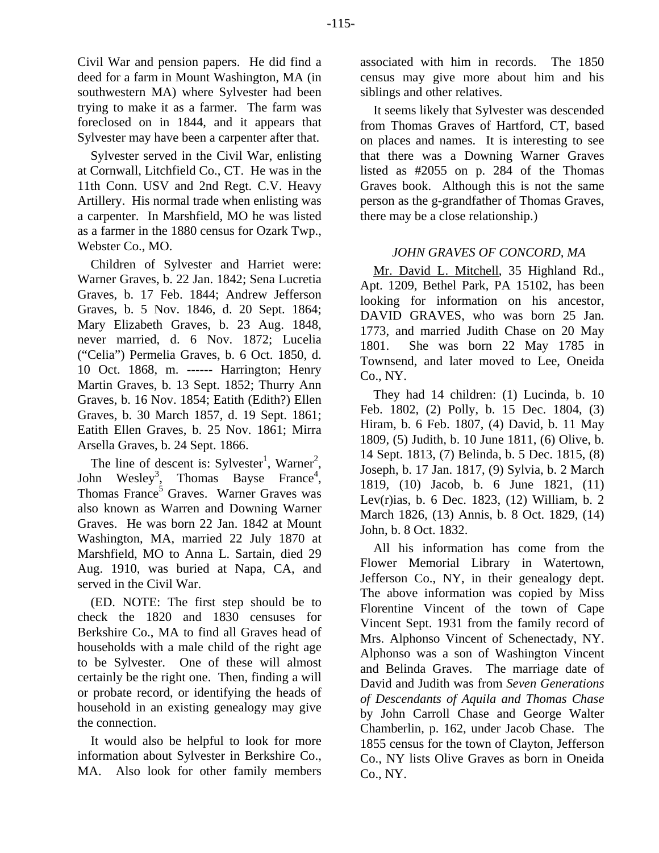Civil War and pension papers. He did find a deed for a farm in Mount Washington, MA (in southwestern MA) where Sylvester had been trying to make it as a farmer. The farm was foreclosed on in 1844, and it appears that Sylvester may have been a carpenter after that.

Sylvester served in the Civil War, enlisting at Cornwall, Litchfield Co., CT. He was in the 11th Conn. USV and 2nd Regt. C.V. Heavy Artillery. His normal trade when enlisting was a carpenter. In Marshfield, MO he was listed as a farmer in the 1880 census for Ozark Twp., Webster Co., MO.

Children of Sylvester and Harriet were: Warner Graves, b. 22 Jan. 1842; Sena Lucretia Graves, b. 17 Feb. 1844; Andrew Jefferson Graves, b. 5 Nov. 1846, d. 20 Sept. 1864; Mary Elizabeth Graves, b. 23 Aug. 1848, never married, d. 6 Nov. 1872; Lucelia ("Celia") Permelia Graves, b. 6 Oct. 1850, d. 10 Oct. 1868, m. ------ Harrington; Henry Martin Graves, b. 13 Sept. 1852; Thurry Ann Graves, b. 16 Nov. 1854; Eatith (Edith?) Ellen Graves, b. 30 March 1857, d. 19 Sept. 1861; Eatith Ellen Graves, b. 25 Nov. 1861; Mirra Arsella Graves, b. 24 Sept. 1866.

The line of descent is: Sylvester<sup>1</sup>, Warner<sup>2</sup>, John Wesley<sup>3</sup>, Thomas Bayse France<sup>4</sup>, Thomas France<sup>5</sup> Graves. Warner Graves was also known as Warren and Downing Warner Graves. He was born 22 Jan. 1842 at Mount Washington, MA, married 22 July 1870 at Marshfield, MO to Anna L. Sartain, died 29 Aug. 1910, was buried at Napa, CA, and served in the Civil War.

(ED. NOTE: The first step should be to check the 1820 and 1830 censuses for Berkshire Co., MA to find all Graves head of households with a male child of the right age to be Sylvester. One of these will almost certainly be the right one. Then, finding a will or probate record, or identifying the heads of household in an existing genealogy may give the connection.

It would also be helpful to look for more information about Sylvester in Berkshire Co., MA. Also look for other family members associated with him in records. The 1850 census may give more about him and his siblings and other relatives.

It seems likely that Sylvester was descended from Thomas Graves of Hartford, CT, based on places and names. It is interesting to see that there was a Downing Warner Graves listed as #2055 on p. 284 of the Thomas Graves book. Although this is not the same person as the g-grandfather of Thomas Graves, there may be a close relationship.)

# *JOHN GRAVES OF CONCORD, MA*

Mr. David L. Mitchell, 35 Highland Rd., Apt. 1209, Bethel Park, PA 15102, has been looking for information on his ancestor, DAVID GRAVES, who was born 25 Jan. 1773, and married Judith Chase on 20 May 1801. She was born 22 May 1785 in Townsend, and later moved to Lee, Oneida Co., NY.

They had 14 children: (1) Lucinda, b. 10 Feb. 1802, (2) Polly, b. 15 Dec. 1804, (3) Hiram, b. 6 Feb. 1807, (4) David, b. 11 May 1809, (5) Judith, b. 10 June 1811, (6) Olive, b. 14 Sept. 1813, (7) Belinda, b. 5 Dec. 1815, (8) Joseph, b. 17 Jan. 1817, (9) Sylvia, b. 2 March 1819, (10) Jacob, b. 6 June 1821, (11) Lev(r)ias, b. 6 Dec. 1823, (12) William, b. 2 March 1826, (13) Annis, b. 8 Oct. 1829, (14) John, b. 8 Oct. 1832.

All his information has come from the Flower Memorial Library in Watertown, Jefferson Co., NY, in their genealogy dept. The above information was copied by Miss Florentine Vincent of the town of Cape Vincent Sept. 1931 from the family record of Mrs. Alphonso Vincent of Schenectady, NY. Alphonso was a son of Washington Vincent and Belinda Graves. The marriage date of David and Judith was from *Seven Generations of Descendants of Aquila and Thomas Chase* by John Carroll Chase and George Walter Chamberlin, p. 162, under Jacob Chase. The 1855 census for the town of Clayton, Jefferson Co., NY lists Olive Graves as born in Oneida Co., NY.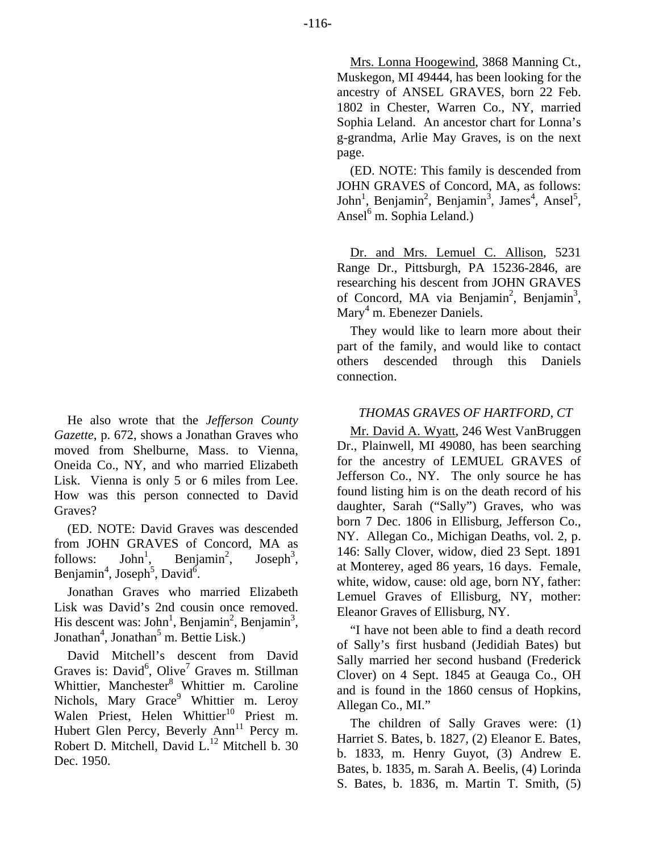Mrs. Lonna Hoogewind, 3868 Manning Ct., Muskegon, MI 49444, has been looking for the ancestry of ANSEL GRAVES, born 22 Feb. 1802 in Chester, Warren Co., NY, married Sophia Leland. An ancestor chart for Lonna's g-grandma, Arlie May Graves, is on the next page.

(ED. NOTE: This family is descended from JOHN GRAVES of Concord, MA, as follows: John<sup>1</sup>, Benjamin<sup>2</sup>, Benjamin<sup>3</sup>, James<sup>4</sup>, Ansel<sup>5</sup>, Ansel<sup>6</sup> m. Sophia Leland.)

Dr. and Mrs. Lemuel C. Allison, 5231 Range Dr., Pittsburgh, PA 15236-2846, are researching his descent from JOHN GRAVES of Concord, MA via Benjamin<sup>2</sup>, Benjamin<sup>3</sup>, Mary<sup>4</sup> m. Ebenezer Daniels.

They would like to learn more about their part of the family, and would like to contact others descended through this Daniels connection.

### *THOMAS GRAVES OF HARTFORD, CT*

Mr. David A. Wyatt, 246 West VanBruggen Dr., Plainwell, MI 49080, has been searching for the ancestry of LEMUEL GRAVES of Jefferson Co., NY. The only source he has found listing him is on the death record of his daughter, Sarah ("Sally") Graves, who was born 7 Dec. 1806 in Ellisburg, Jefferson Co., NY. Allegan Co., Michigan Deaths, vol. 2, p. 146: Sally Clover, widow, died 23 Sept. 1891 at Monterey, aged 86 years, 16 days. Female, white, widow, cause: old age, born NY, father: Lemuel Graves of Ellisburg, NY, mother: Eleanor Graves of Ellisburg, NY.

"I have not been able to find a death record of Sally's first husband (Jedidiah Bates) but Sally married her second husband (Frederick Clover) on 4 Sept. 1845 at Geauga Co., OH and is found in the 1860 census of Hopkins, Allegan Co., MI."

The children of Sally Graves were: (1) Harriet S. Bates, b. 1827, (2) Eleanor E. Bates, b. 1833, m. Henry Guyot, (3) Andrew E. Bates, b. 1835, m. Sarah A. Beelis, (4) Lorinda S. Bates, b. 1836, m. Martin T. Smith, (5)

He also wrote that the *Jefferson County Gazette*, p. 672, shows a Jonathan Graves who moved from Shelburne, Mass. to Vienna, Oneida Co., NY, and who married Elizabeth Lisk. Vienna is only 5 or 6 miles from Lee. How was this person connected to David Graves?

(ED. NOTE: David Graves was descended from JOHN GRAVES of Concord, MA as follows:  $John<sup>1</sup>$ , Benjamin<sup>2</sup>,  $, \qquad$  Joseph<sup>3</sup>, Benjamin<sup>4</sup>, Joseph<sup>5</sup>, David<sup>6</sup>.

Jonathan Graves who married Elizabeth Lisk was David's 2nd cousin once removed. His descent was: John<sup>1</sup>, Benjamin<sup>2</sup>, Benjamin<sup>3</sup>, Jonathan<sup>4</sup>, Jonathan<sup>5</sup> m. Bettie Lisk.)

David Mitchell's descent from David Graves is: David<sup>6</sup>, Olive<sup>7</sup> Graves m. Stillman Whittier, Manchester<sup>8</sup> Whittier m. Caroline Nichols, Mary Grace<sup>9</sup> Whittier m. Leroy Walen Priest, Helen Whittier<sup>10</sup> Priest m. Hubert Glen Percy, Beverly Ann<sup>11</sup> Percy m. Robert D. Mitchell, David  $L^{12}$  Mitchell b. 30 Dec. 1950.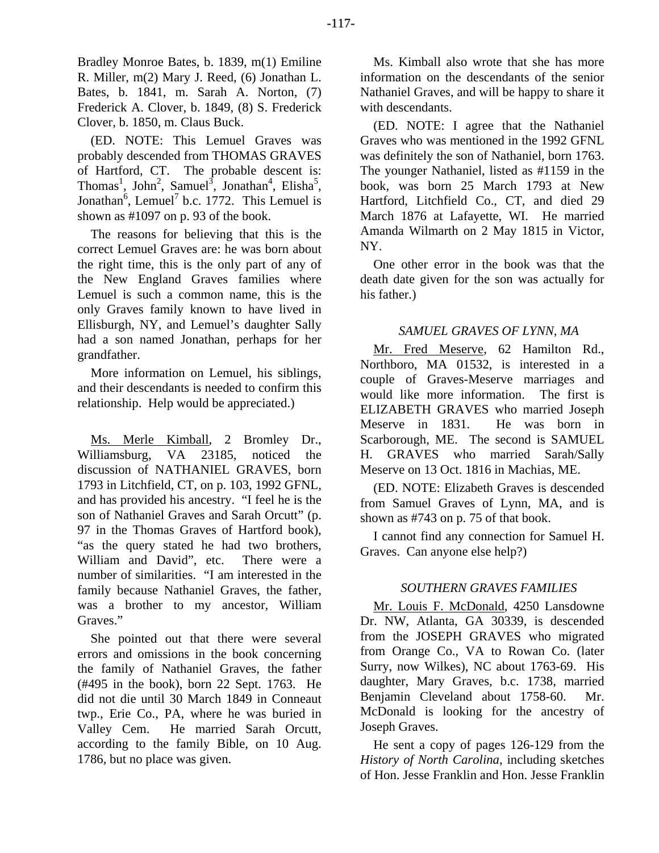Bradley Monroe Bates, b. 1839, m(1) Emiline R. Miller, m(2) Mary J. Reed, (6) Jonathan L. Bates, b. 1841, m. Sarah A. Norton, (7) Frederick A. Clover, b. 1849, (8) S. Frederick Clover, b. 1850, m. Claus Buck.

(ED. NOTE: This Lemuel Graves was probably descended from THOMAS GRAVES of Hartford, CT. The probable descent is: Thomas<sup>1</sup>, John<sup>2</sup>, Samuel<sup>3</sup>, Jonathan<sup>4</sup>, Elisha<sup>5</sup>, Jonathan<sup>6</sup>, Lemuel<sup>7</sup> b.c. 1772. This Lemuel is shown as #1097 on p. 93 of the book.

The reasons for believing that this is the correct Lemuel Graves are: he was born about the right time, this is the only part of any of the New England Graves families where Lemuel is such a common name, this is the only Graves family known to have lived in Ellisburgh, NY, and Lemuel's daughter Sally had a son named Jonathan, perhaps for her grandfather.

More information on Lemuel, his siblings, and their descendants is needed to confirm this relationship. Help would be appreciated.)

Ms. Merle Kimball, 2 Bromley Dr., Williamsburg, VA 23185, noticed the discussion of NATHANIEL GRAVES, born 1793 in Litchfield, CT, on p. 103, 1992 GFNL, and has provided his ancestry. "I feel he is the son of Nathaniel Graves and Sarah Orcutt" (p. 97 in the Thomas Graves of Hartford book), "as the query stated he had two brothers, William and David", etc. There were a number of similarities. "I am interested in the family because Nathaniel Graves, the father, was a brother to my ancestor, William Graves."

She pointed out that there were several errors and omissions in the book concerning the family of Nathaniel Graves, the father (#495 in the book), born 22 Sept. 1763. He did not die until 30 March 1849 in Conneaut twp., Erie Co., PA, where he was buried in Valley Cem. He married Sarah Orcutt, according to the family Bible, on 10 Aug. 1786, but no place was given.

Ms. Kimball also wrote that she has more information on the descendants of the senior Nathaniel Graves, and will be happy to share it with descendants.

(ED. NOTE: I agree that the Nathaniel Graves who was mentioned in the 1992 GFNL was definitely the son of Nathaniel, born 1763. The younger Nathaniel, listed as #1159 in the book, was born 25 March 1793 at New Hartford, Litchfield Co., CT, and died 29 March 1876 at Lafayette, WI. He married Amanda Wilmarth on 2 May 1815 in Victor, NY.

One other error in the book was that the death date given for the son was actually for his father.)

# *SAMUEL GRAVES OF LYNN, MA*

Mr. Fred Meserve, 62 Hamilton Rd., Northboro, MA 01532, is interested in a couple of Graves-Meserve marriages and would like more information. The first is ELIZABETH GRAVES who married Joseph Meserve in 1831. He was born in Scarborough, ME. The second is SAMUEL H. GRAVES who married Sarah/Sally Meserve on 13 Oct. 1816 in Machias, ME.

(ED. NOTE: Elizabeth Graves is descended from Samuel Graves of Lynn, MA, and is shown as #743 on p. 75 of that book.

I cannot find any connection for Samuel H. Graves. Can anyone else help?)

## *SOUTHERN GRAVES FAMILIES*

Mr. Louis F. McDonald, 4250 Lansdowne Dr. NW, Atlanta, GA 30339, is descended from the JOSEPH GRAVES who migrated from Orange Co., VA to Rowan Co. (later Surry, now Wilkes), NC about 1763-69. His daughter, Mary Graves, b.c. 1738, married Benjamin Cleveland about 1758-60. Mr. McDonald is looking for the ancestry of Joseph Graves.

He sent a copy of pages 126-129 from the *History of North Carolina*, including sketches of Hon. Jesse Franklin and Hon. Jesse Franklin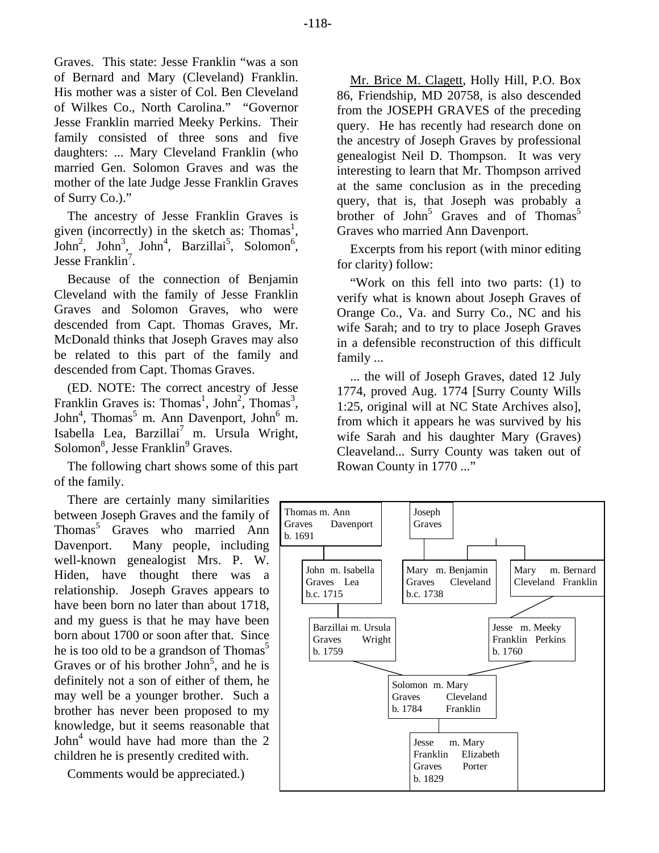Graves. This state: Jesse Franklin "was a son of Bernard and Mary (Cleveland) Franklin. His mother was a sister of Col. Ben Cleveland of Wilkes Co., North Carolina." "Governor Jesse Franklin married Meeky Perkins. Their family consisted of three sons and five daughters: ... Mary Cleveland Franklin (who married Gen. Solomon Graves and was the mother of the late Judge Jesse Franklin Graves of Surry Co.)."

The ancestry of Jesse Franklin Graves is given (incorrectly) in the sketch as: Thomas<sup>1</sup>,  $John<sup>2</sup>$ , John<sup>3</sup>, John<sup>4</sup>, Barzillai<sup>5</sup>, Solomon<sup>6</sup>, Jesse Franklin<sup>7</sup>.

Because of the connection of Benjamin Cleveland with the family of Jesse Franklin Graves and Solomon Graves, who were descended from Capt. Thomas Graves, Mr. McDonald thinks that Joseph Graves may also be related to this part of the family and descended from Capt. Thomas Graves.

(ED. NOTE: The correct ancestry of Jesse Franklin Graves is: Thomas<sup>1</sup>, John<sup>2</sup>, Thomas<sup>3</sup>, John<sup>4</sup>, Thomas<sup>5</sup> m. Ann Davenport, John<sup>6</sup> m. Isabella Lea, Barzillai<sup>7</sup> m. Ursula Wright, Solomon<sup>8</sup>, Jesse Franklin<sup>9</sup> Graves.

The following chart shows some of this part of the family.

There are certainly many similarities between Joseph Graves and the family of Thomas<sup>5</sup> Graves who married Ann Davenport. Many people, including well-known genealogist Mrs. P. W. Hiden, have thought there was a relationship. Joseph Graves appears to have been born no later than about 1718, and my guess is that he may have been born about 1700 or soon after that. Since he is too old to be a grandson of Thomas<sup>5</sup> Graves or of his brother John<sup>5</sup>, and he is definitely not a son of either of them, he may well be a younger brother. Such a brother has never been proposed to my knowledge, but it seems reasonable that John<sup>4</sup> would have had more than the 2 children he is presently credited with.

Comments would be appreciated.)

Mr. Brice M. Clagett, Holly Hill, P.O. Box 86, Friendship, MD 20758, is also descended from the JOSEPH GRAVES of the preceding query. He has recently had research done on the ancestry of Joseph Graves by professional genealogist Neil D. Thompson. It was very interesting to learn that Mr. Thompson arrived at the same conclusion as in the preceding query, that is, that Joseph was probably a brother of John<sup>5</sup> Graves and of Thomas<sup>5</sup> Graves who married Ann Davenport.

Excerpts from his report (with minor editing for clarity) follow:

"Work on this fell into two parts: (1) to verify what is known about Joseph Graves of Orange Co., Va. and Surry Co., NC and his wife Sarah; and to try to place Joseph Graves in a defensible reconstruction of this difficult family ...

... the will of Joseph Graves, dated 12 July 1774, proved Aug. 1774 [Surry County Wills 1:25, original will at NC State Archives also], from which it appears he was survived by his wife Sarah and his daughter Mary (Graves) Cleaveland... Surry County was taken out of Rowan County in 1770 ..."

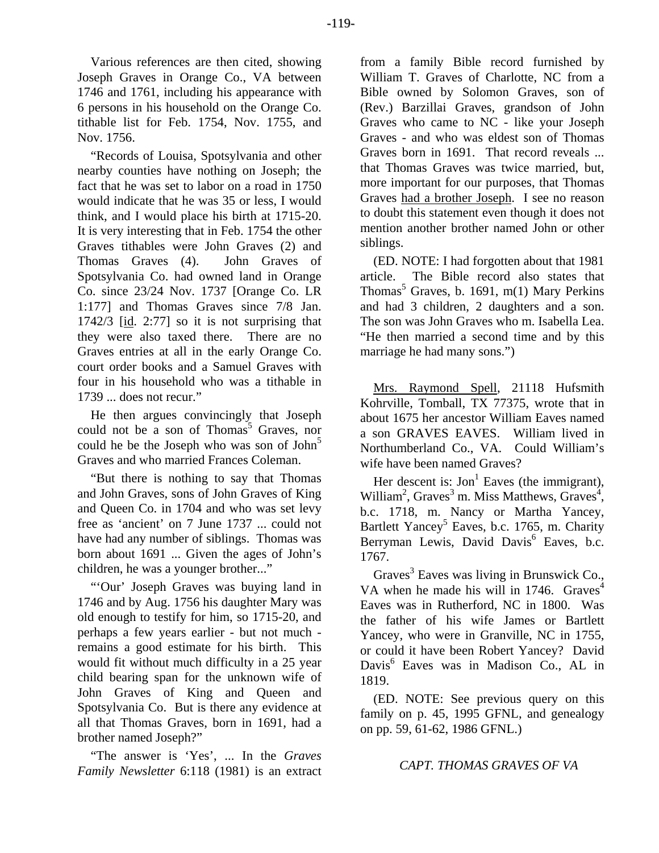Various references are then cited, showing Joseph Graves in Orange Co., VA between 1746 and 1761, including his appearance with 6 persons in his household on the Orange Co. tithable list for Feb. 1754, Nov. 1755, and Nov. 1756.

"Records of Louisa, Spotsylvania and other nearby counties have nothing on Joseph; the fact that he was set to labor on a road in 1750 would indicate that he was 35 or less, I would think, and I would place his birth at 1715-20. It is very interesting that in Feb. 1754 the other Graves tithables were John Graves (2) and Thomas Graves (4). John Graves of Spotsylvania Co. had owned land in Orange Co. since 23/24 Nov. 1737 [Orange Co. LR 1:177] and Thomas Graves since 7/8 Jan. 1742/3 [id. 2:77] so it is not surprising that they were also taxed there. There are no Graves entries at all in the early Orange Co. court order books and a Samuel Graves with four in his household who was a tithable in 1739 ... does not recur."

He then argues convincingly that Joseph could not be a son of Thomas<sup>5</sup> Graves, nor could he be the Joseph who was son of John<sup>5</sup> Graves and who married Frances Coleman.

"But there is nothing to say that Thomas and John Graves, sons of John Graves of King and Queen Co. in 1704 and who was set levy free as 'ancient' on 7 June 1737 ... could not have had any number of siblings. Thomas was born about 1691 ... Given the ages of John's children, he was a younger brother..."

"'Our' Joseph Graves was buying land in 1746 and by Aug. 1756 his daughter Mary was old enough to testify for him, so 1715-20, and perhaps a few years earlier - but not much remains a good estimate for his birth. This would fit without much difficulty in a 25 year child bearing span for the unknown wife of John Graves of King and Queen and Spotsylvania Co. But is there any evidence at all that Thomas Graves, born in 1691, had a brother named Joseph?"

"The answer is 'Yes', ... In the *Graves Family Newsletter* 6:118 (1981) is an extract from a family Bible record furnished by William T. Graves of Charlotte, NC from a Bible owned by Solomon Graves, son of (Rev.) Barzillai Graves, grandson of John Graves who came to NC - like your Joseph Graves - and who was eldest son of Thomas Graves born in 1691. That record reveals ... that Thomas Graves was twice married, but, more important for our purposes, that Thomas Graves had a brother Joseph. I see no reason to doubt this statement even though it does not mention another brother named John or other siblings.

(ED. NOTE: I had forgotten about that 1981 article. The Bible record also states that Thomas<sup>5</sup> Graves, b. 1691, m(1) Mary Perkins and had 3 children, 2 daughters and a son. The son was John Graves who m. Isabella Lea. "He then married a second time and by this marriage he had many sons.")

Mrs. Raymond Spell, 21118 Hufsmith Kohrville, Tomball, TX 77375, wrote that in about 1675 her ancestor William Eaves named a son GRAVES EAVES. William lived in Northumberland Co., VA. Could William's wife have been named Graves?

Her descent is:  $\text{Jon}^1$  Eaves (the immigrant), William<sup>2</sup>, Graves<sup>3</sup> m. Miss Matthews, Graves<sup>4</sup>, b.c. 1718, m. Nancy or Martha Yancey, Bartlett Yancey<sup>5</sup> Eaves, b.c. 1765, m. Charity Berryman Lewis, David Davis<sup>6</sup> Eaves, b.c. 1767.

Graves<sup>3</sup> Eaves was living in Brunswick Co., VA when he made his will in 1746. Graves<sup>4</sup> Eaves was in Rutherford, NC in 1800. Was the father of his wife James or Bartlett Yancey, who were in Granville, NC in 1755, or could it have been Robert Yancey? David Davis<sup>6</sup> Eaves was in Madison Co., AL in 1819.

(ED. NOTE: See previous query on this family on p. 45, 1995 GFNL, and genealogy on pp. 59, 61-62, 1986 GFNL.)

## *CAPT. THOMAS GRAVES OF VA*